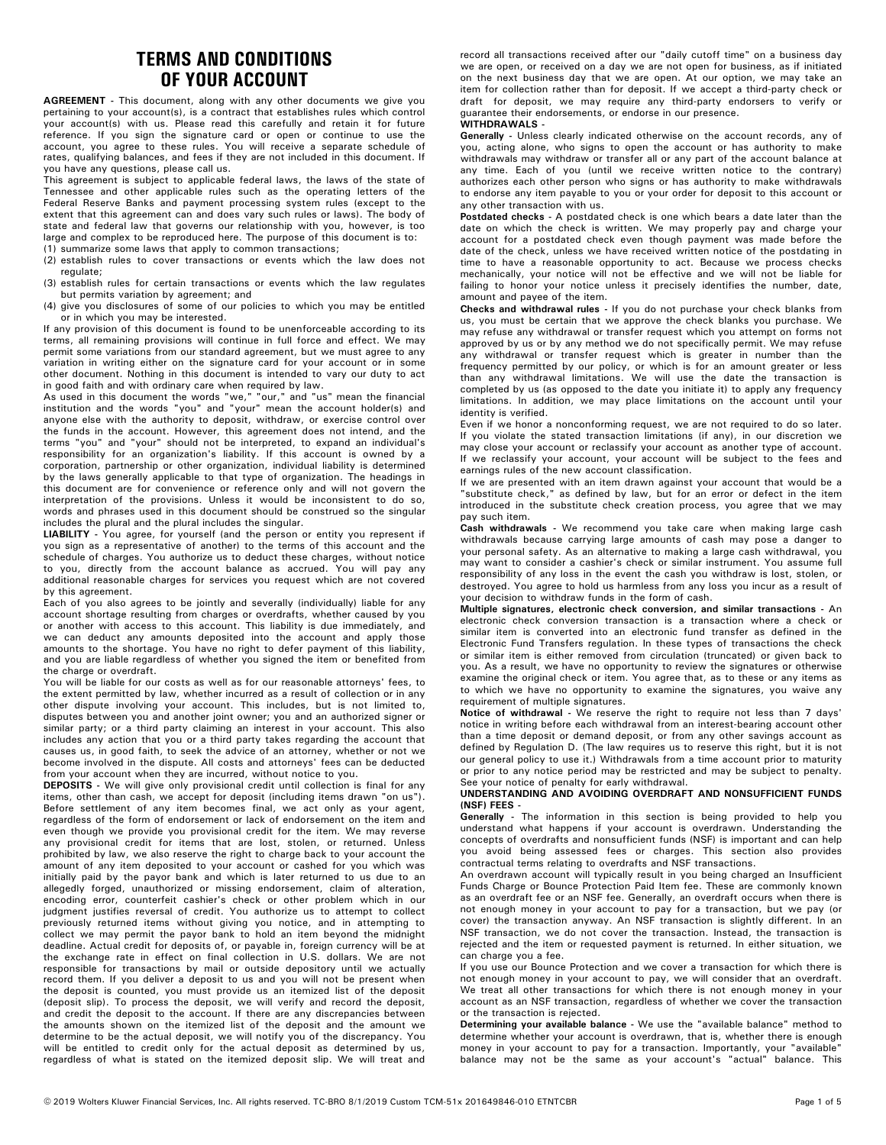## **TERMS AND CONDITIONS OF YOUR ACCOUNT**

**AGREEMENT -** This document, along with any other documents we give you pertaining to your account(s), is a contract that establishes rules which control your account(s) with us. Please read this carefully and retain it for future reference. If you sign the signature card or open or continue to use the account, you agree to these rules. You will receive a separate schedule of rates, qualifying balances, and fees if they are not included in this document. If you have any questions, please call us.

This agreement is subject to applicable federal laws, the laws of the state of Tennessee and other applicable rules such as the operating letters of the Federal Reserve Banks and payment processing system rules (except to the extent that this agreement can and does vary such rules or laws). The body of state and federal law that governs our relationship with you, however, is too large and complex to be reproduced here. The purpose of this document is to: (1) summarize some laws that apply to common transactions;

(2) establish rules to cover transactions or events which the law does not

- regulate;
- (3) establish rules for certain transactions or events which the law regulates but permits variation by agreement; and
- (4) give you disclosures of some of our policies to which you may be entitled or in which you may be interested.

If any provision of this document is found to be unenforceable according to its terms, all remaining provisions will continue in full force and effect. We may permit some variations from our standard agreement, but we must agree to any variation in writing either on the signature card for your account or in some other document. Nothing in this document is intended to vary our duty to act in good faith and with ordinary care when required by law.

As used in this document the words "we," "our," and "us" mean the financial institution and the words "you" and "your" mean the account holder(s) and anyone else with the authority to deposit, withdraw, or exercise control over the funds in the account. However, this agreement does not intend, and the terms "you" and "your" should not be interpreted, to expand an individual's responsibility for an organization's liability. If this account is owned by a corporation, partnership or other organization, individual liability is determined by the laws generally applicable to that type of organization. The headings in this document are for convenience or reference only and will not govern the interpretation of the provisions. Unless it would be inconsistent to do so, words and phrases used in this document should be construed so the singular includes the plural and the plural includes the singular.

**LIABILITY -** You agree, for yourself (and the person or entity you represent if you sign as a representative of another) to the terms of this account and the schedule of charges. You authorize us to deduct these charges, without notice to you, directly from the account balance as accrued. You will pay any additional reasonable charges for services you request which are not covered by this agreement.

Each of you also agrees to be jointly and severally (individually) liable for any account shortage resulting from charges or overdrafts, whether caused by you or another with access to this account. This liability is due immediately, and we can deduct any amounts deposited into the account and apply those amounts to the shortage. You have no right to defer payment of this liability, and you are liable regardless of whether you signed the item or benefited from the charge or overdraft.

You will be liable for our costs as well as for our reasonable attorneys' fees, to the extent permitted by law, whether incurred as a result of collection or in any other dispute involving your account. This includes, but is not limited to, disputes between you and another joint owner; you and an authorized signer or similar party; or a third party claiming an interest in your account. This also includes any action that you or a third party takes regarding the account that causes us, in good faith, to seek the advice of an attorney, whether or not we become involved in the dispute. All costs and attorneys' fees can be deducted from your account when they are incurred, without notice to you.

**DEPOSITS -** We will give only provisional credit until collection is final for any items, other than cash, we accept for deposit (including items drawn "on us"). Before settlement of any item becomes final, we act only as your agent, regardless of the form of endorsement or lack of endorsement on the item and even though we provide you provisional credit for the item. We may reverse any provisional credit for items that are lost, stolen, or returned. Unless prohibited by law, we also reserve the right to charge back to your account the amount of any item deposited to your account or cashed for you which was initially paid by the payor bank and which is later returned to us due to an allegedly forged, unauthorized or missing endorsement, claim of alteration, encoding error, counterfeit cashier's check or other problem which in our judgment justifies reversal of credit. You authorize us to attempt to collect previously returned items without giving you notice, and in attempting to collect we may permit the payor bank to hold an item beyond the midnight deadline. Actual credit for deposits of, or payable in, foreign currency will be at the exchange rate in effect on final collection in U.S. dollars. We are not responsible for transactions by mail or outside depository until we actually record them. If you deliver a deposit to us and you will not be present when the deposit is counted, you must provide us an itemized list of the deposit (deposit slip). To process the deposit, we will verify and record the deposit, and credit the deposit to the account. If there are any discrepancies between the amounts shown on the itemized list of the deposit and the amount we determine to be the actual deposit, we will notify you of the discrepancy. You will be entitled to credit only for the actual deposit as determined by us, regardless of what is stated on the itemized deposit slip. We will treat and

record all transactions received after our "daily cutoff time" on a business day we are open, or received on a day we are not open for business, as if initiated on the next business day that we are open. At our option, we may take an item for collection rather than for deposit. If we accept a third-party check or draft for deposit, we may require any third-party endorsers to verify or guarantee their endorsements, or endorse in our presence. **WITHDRAWALS -**

Generally - Unless clearly indicated otherwise on the account records, any of you, acting alone, who signs to open the account or has authority to make withdrawals may withdraw or transfer all or any part of the account balance at any time. Each of you (until we receive written notice to the contrary) authorizes each other person who signs or has authority to make withdrawals to endorse any item payable to you or your order for deposit to this account or any other transaction with us.

Postdated checks - A postdated check is one which bears a date later than the date on which the check is written. We may properly pay and charge your account for a postdated check even though payment was made before the date of the check, unless we have received written notice of the postdating in time to have a reasonable opportunity to act. Because we process checks mechanically, your notice will not be effective and we will not be liable for failing to honor your notice unless it precisely identifies the number, date, amount and payee of the item.

Checks and withdrawal rules - If you do not purchase your check blanks from us, you must be certain that we approve the check blanks you purchase. We may refuse any withdrawal or transfer request which you attempt on forms not approved by us or by any method we do not specifically permit. We may refuse any withdrawal or transfer request which is greater in number than the frequency permitted by our policy, or which is for an amount greater or less than any withdrawal limitations. We will use the date the transaction is completed by us (as opposed to the date you initiate it) to apply any frequency limitations. In addition, we may place limitations on the account until your identity is verified.

Even if we honor a nonconforming request, we are not required to do so later. If you violate the stated transaction limitations (if any), in our discretion we may close your account or reclassify your account as another type of account. If we reclassify your account, your account will be subject to the fees and earnings rules of the new account classification.

If we are presented with an item drawn against your account that would be a "substitute check," as defined by law, but for an error or defect in the item introduced in the substitute check creation process, you agree that we may pay such item.

**Cash withdrawals -** We recommend you take care when making large cash withdrawals because carrying large amounts of cash may pose a danger to your personal safety. As an alternative to making a large cash withdrawal, you may want to consider a cashier's check or similar instrument. You assume full responsibility of any loss in the event the cash you withdraw is lost, stolen, or destroyed. You agree to hold us harmless from any loss you incur as a result of your decision to withdraw funds in the form of cash.

**Multiple signatures, electronic check conversion, and similar transactions - An** electronic check conversion transaction is a transaction where a check or similar item is converted into an electronic fund transfer as defined in the Electronic Fund Transfers regulation. In these types of transactions the check or similar item is either removed from circulation (truncated) or given back to you. As a result, we have no opportunity to review the signatures or otherwise examine the original check or item. You agree that, as to these or any items as to which we have no opportunity to examine the signatures, you waive any requirement of multiple signatures.

**Notice of withdrawal -** We reserve the right to require not less than 7 days' notice in writing before each withdrawal from an interest-bearing account other than a time deposit or demand deposit, or from any other savings account as defined by Regulation D. (The law requires us to reserve this right, but it is not our general policy to use it.) Withdrawals from a time account prior to maturity or prior to any notice period may be restricted and may be subject to penalty. See your notice of penalty for early withdrawal.

#### **UNDERSTANDING AND AVOIDING OVERDRAFT AND NONSUFFICIENT FUNDS (NSF) FEES -**

**Generally -** The information in this section is being provided to help you understand what happens if your account is overdrawn. Understanding the concepts of overdrafts and nonsufficient funds (NSF) is important and can help you avoid being assessed fees or charges. This section also provides contractual terms relating to overdrafts and NSF transactions.

An overdrawn account will typically result in you being charged an Insufficient Funds Charge or Bounce Protection Paid Item fee. These are commonly known as an overdraft fee or an NSF fee. Generally, an overdraft occurs when there is not enough money in your account to pay for a transaction, but we pay (or cover) the transaction anyway. An NSF transaction is slightly different. In an NSF transaction, we do not cover the transaction. Instead, the transaction is rejected and the item or requested payment is returned. In either situation, we can charge you a fee.

If you use our Bounce Protection and we cover a transaction for which there is not enough money in your account to pay, we will consider that an overdraft. We treat all other transactions for which there is not enough money in your account as an NSF transaction, regardless of whether we cover the transaction or the transaction is rejected.

Determining your available balance - We use the "available balance" method to determine whether your account is overdrawn, that is, whether there is enough money in your account to pay for a transaction. Importantly, your "available" balance may not be the same as your account's "actual" balance. This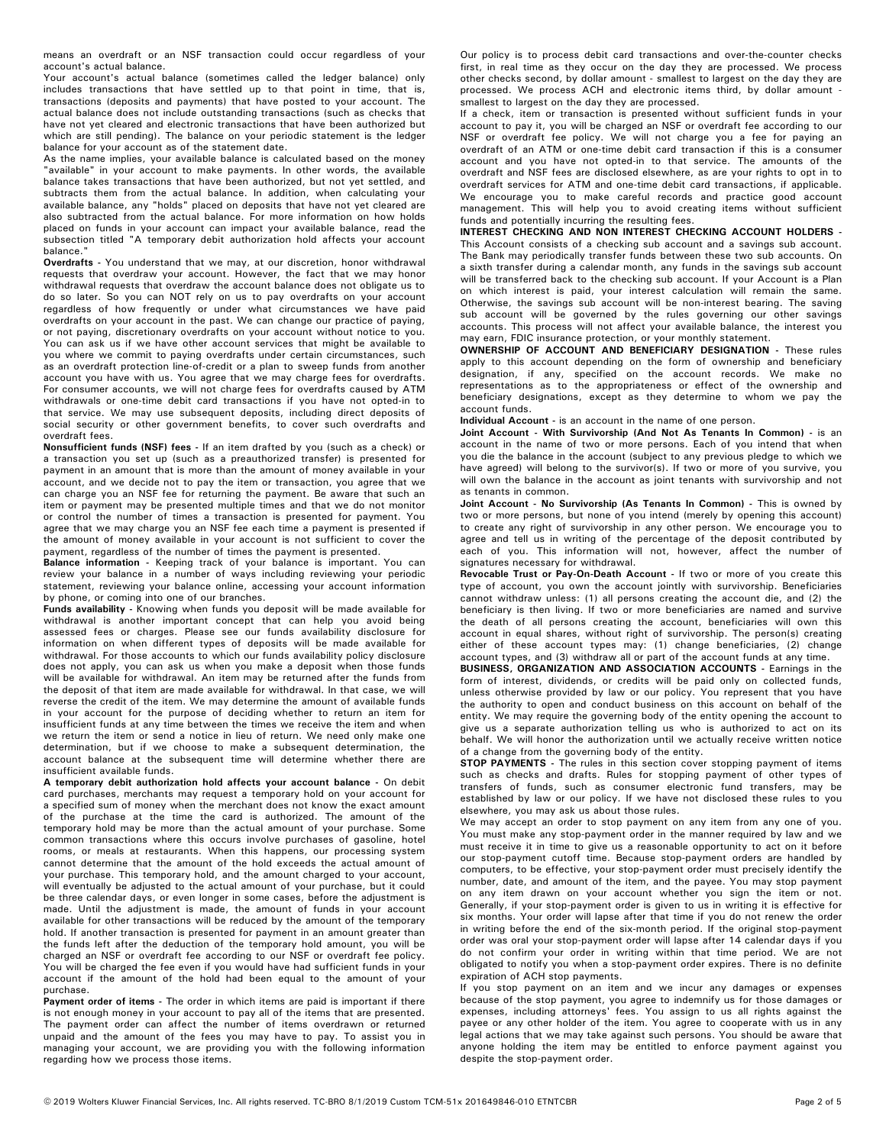means an overdraft or an NSF transaction could occur regardless of your account's actual balance.

Your account's actual balance (sometimes called the ledger balance) only includes transactions that have settled up to that point in time, that is, transactions (deposits and payments) that have posted to your account. The actual balance does not include outstanding transactions (such as checks that have not yet cleared and electronic transactions that have been authorized but which are still pending). The balance on your periodic statement is the ledger balance for your account as of the statement date.

As the name implies, your available balance is calculated based on the money "available" in your account to make payments. In other words, the available balance takes transactions that have been authorized, but not yet settled, and subtracts them from the actual balance. In addition, when calculating your available balance, any "holds" placed on deposits that have not yet cleared are also subtracted from the actual balance. For more information on how holds placed on funds in your account can impact your available balance, read the subsection titled "A temporary debit authorization hold affects your account balance."

Overdrafts - You understand that we may, at our discretion, honor withdrawal requests that overdraw your account. However, the fact that we may honor withdrawal requests that overdraw the account balance does not obligate us to do so later. So you can NOT rely on us to pay overdrafts on your account regardless of how frequently or under what circumstances we have paid overdrafts on your account in the past. We can change our practice of paying, or not paying, discretionary overdrafts on your account without notice to you. You can ask us if we have other account services that might be available to you where we commit to paying overdrafts under certain circumstances, such as an overdraft protection line-of-credit or a plan to sweep funds from another account you have with us. You agree that we may charge fees for overdrafts. For consumer accounts, we will not charge fees for overdrafts caused by ATM withdrawals or one-time debit card transactions if you have not opted-in to that service. We may use subsequent deposits, including direct deposits of social security or other government benefits, to cover such overdrafts and overdraft fees.

**Nonsufficient funds (NSF) fees -** If an item drafted by you (such as a check) or a transaction you set up (such as a preauthorized transfer) is presented for payment in an amount that is more than the amount of money available in your account, and we decide not to pay the item or transaction, you agree that we can charge you an NSF fee for returning the payment. Be aware that such an item or payment may be presented multiple times and that we do not monitor or control the number of times a transaction is presented for payment. You agree that we may charge you an NSF fee each time a payment is presented if the amount of money available in your account is not sufficient to cover the payment, regardless of the number of times the payment is presented.

Balance information - Keeping track of your balance is important. You can review your balance in a number of ways including reviewing your periodic statement, reviewing your balance online, accessing your account information by phone, or coming into one of our branches.

Funds availability - Knowing when funds you deposit will be made available for withdrawal is another important concept that can help you avoid being assessed fees or charges. Please see our funds availability disclosure for information on when different types of deposits will be made available for withdrawal. For those accounts to which our funds availability policy disclosure does not apply, you can ask us when you make a deposit when those funds will be available for withdrawal. An item may be returned after the funds from the deposit of that item are made available for withdrawal. In that case, we will reverse the credit of the item. We may determine the amount of available funds in your account for the purpose of deciding whether to return an item for insufficient funds at any time between the times we receive the item and when we return the item or send a notice in lieu of return. We need only make one determination, but if we choose to make a subsequent determination, the account balance at the subsequent time will determine whether there are insufficient available funds.

**A temporary debit authorization hold affects your account balance - On debit** card purchases, merchants may request a temporary hold on your account for a specified sum of money when the merchant does not know the exact amount of the purchase at the time the card is authorized. The amount of the temporary hold may be more than the actual amount of your purchase. Some common transactions where this occurs involve purchases of gasoline, hotel rooms, or meals at restaurants. When this happens, our processing system cannot determine that the amount of the hold exceeds the actual amount of your purchase. This temporary hold, and the amount charged to your account, will eventually be adjusted to the actual amount of your purchase, but it could be three calendar days, or even longer in some cases, before the adjustment is made. Until the adjustment is made, the amount of funds in your account available for other transactions will be reduced by the amount of the temporary hold. If another transaction is presented for payment in an amount greater than the funds left after the deduction of the temporary hold amount, you will be charged an NSF or overdraft fee according to our NSF or overdraft fee policy. You will be charged the fee even if you would have had sufficient funds in your account if the amount of the hold had been equal to the amount of your purchase.

**Payment order of items -** The order in which items are paid is important if there is not enough money in your account to pay all of the items that are presented. The payment order can affect the number of items overdrawn or returned unpaid and the amount of the fees you may have to pay. To assist you in managing your account, we are providing you with the following information regarding how we process those items.

Our policy is to process debit card transactions and over-the-counter checks first, in real time as they occur on the day they are processed. We process other checks second, by dollar amount - smallest to largest on the day they are processed. We process ACH and electronic items third, by dollar amount smallest to largest on the day they are processed.

If a check, item or transaction is presented without sufficient funds in your account to pay it, you will be charged an NSF or overdraft fee according to our NSF or overdraft fee policy. We will not charge you a fee for paying an overdraft of an ATM or one-time debit card transaction if this is a consumer account and you have not opted-in to that service. The amounts of the overdraft and NSF fees are disclosed elsewhere, as are your rights to opt in to overdraft services for ATM and one-time debit card transactions, if applicable. We encourage you to make careful records and practice good account management. This will help you to avoid creating items without sufficient funds and potentially incurring the resulting fees.

This Account consists of a checking sub account and a savings sub account. The Bank may periodically transfer funds between these two sub accounts. On a sixth transfer during a calendar month, any funds in the savings sub account will be transferred back to the checking sub account. If your Account is a Plan on which interest is paid, your interest calculation will remain the same. Otherwise, the savings sub account will be non-interest bearing. The saving sub account will be governed by the rules governing our other savings accounts. This process will not affect your available balance, the interest you may earn, FDIC insurance protection, or your monthly statement. **INTEREST CHECKING AND NON INTEREST CHECKING ACCOUNT HOLDERS -**

**OWNERSHIP OF ACCOUNT AND BENEFICIARY DESIGNATION -** These rules apply to this account depending on the form of ownership and beneficiary designation, if any, specified on the account records. We make no representations as to the appropriateness or effect of the ownership and beneficiary designations, except as they determine to whom we pay the account funds.

Individual Account - is an account in the name of one person.

**Joint Account - With Survivorship (And Not As Tenants In Common) -** is an account in the name of two or more persons. Each of you intend that when you die the balance in the account (subject to any previous pledge to which we have agreed) will belong to the survivor(s). If two or more of you survive, you will own the balance in the account as joint tenants with survivorship and not as tenants in common.

**Joint Account - No Survivorship (As Tenants In Common) -** This is owned by two or more persons, but none of you intend (merely by opening this account) to create any right of survivorship in any other person. We encourage you to agree and tell us in writing of the percentage of the deposit contributed by each of you. This information will not, however, affect the number of signatures necessary for withdrawal.

**Revocable Trust or Pay-On-Death Account -** If two or more of you create this type of account, you own the account jointly with survivorship. Beneficiaries cannot withdraw unless: (1) all persons creating the account die, and (2) the beneficiary is then living. If two or more beneficiaries are named and survive the death of all persons creating the account, beneficiaries will own this account in equal shares, without right of survivorship. The person(s) creating either of these account types may: (1) change beneficiaries, (2) change account types, and (3) withdraw all or part of the account funds at any time.

**BUSINESS, ORGANIZATION AND ASSOCIATION ACCOUNTS -** Earnings in the form of interest, dividends, or credits will be paid only on collected funds, unless otherwise provided by law or our policy. You represent that you have the authority to open and conduct business on this account on behalf of the entity. We may require the governing body of the entity opening the account to give us a separate authorization telling us who is authorized to act on its behalf. We will honor the authorization until we actually receive written notice of a change from the governing body of the entity.

**STOP PAYMENTS** - The rules in this section cover stopping payment of items such as checks and drafts. Rules for stopping payment of other types of transfers of funds, such as consumer electronic fund transfers, may be established by law or our policy. If we have not disclosed these rules to you elsewhere, you may ask us about those rules.

We may accept an order to stop payment on any item from any one of you. You must make any stop-payment order in the manner required by law and we must receive it in time to give us a reasonable opportunity to act on it before our stop-payment cutoff time. Because stop-payment orders are handled by computers, to be effective, your stop-payment order must precisely identify the number, date, and amount of the item, and the payee. You may stop payment on any item drawn on your account whether you sign the item or not. Generally, if your stop-payment order is given to us in writing it is effective for six months. Your order will lapse after that time if you do not renew the order in writing before the end of the six-month period. If the original stop-payment order was oral your stop-payment order will lapse after 14 calendar days if you do not confirm your order in writing within that time period. We are not obligated to notify you when a stop-payment order expires. There is no definite expiration of ACH stop payments.

If you stop payment on an item and we incur any damages or expenses because of the stop payment, you agree to indemnify us for those damages or expenses, including attorneys' fees. You assign to us all rights against the payee or any other holder of the item. You agree to cooperate with us in any legal actions that we may take against such persons. You should be aware that anyone holding the item may be entitled to enforce payment against you despite the stop-payment order.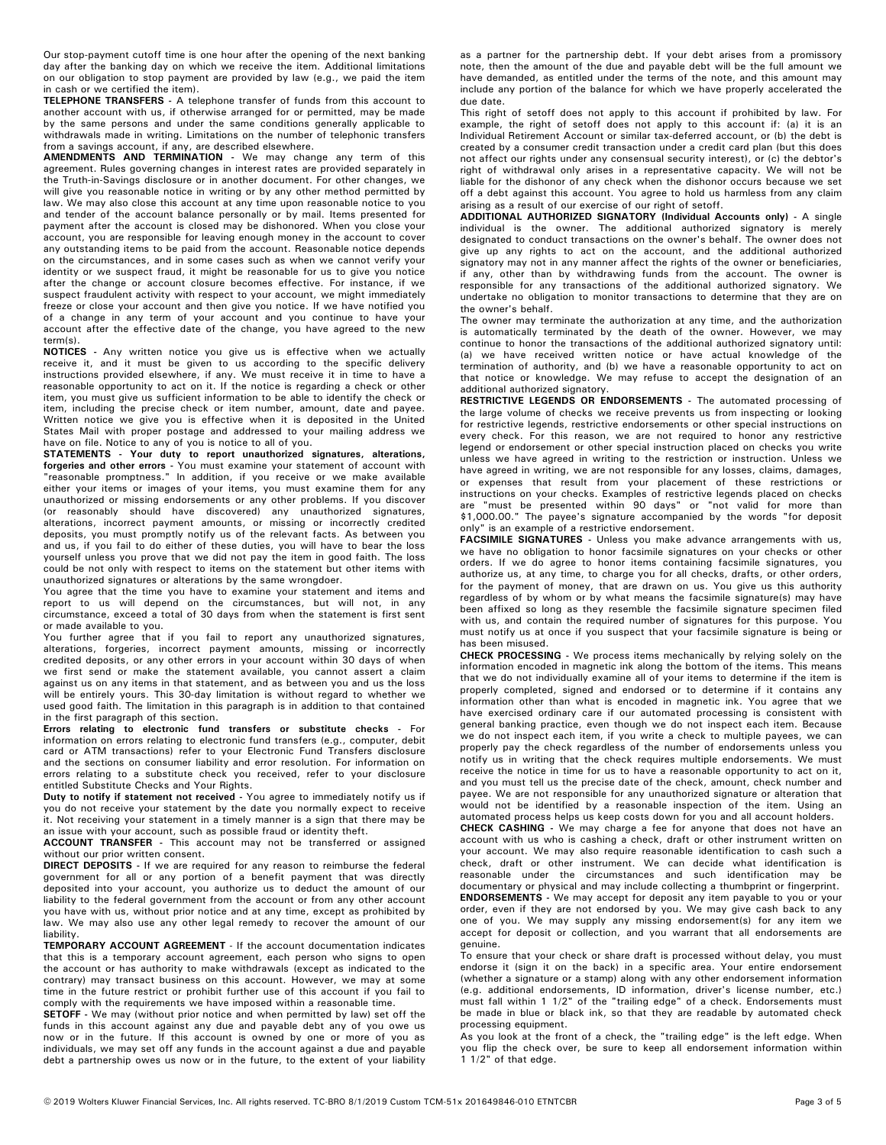Our stop-payment cutoff time is one hour after the opening of the next banking day after the banking day on which we receive the item. Additional limitations on our obligation to stop payment are provided by law (e.g., we paid the item in cash or we certified the item).

**TELEPHONE TRANSFERS** - A telephone transfer of funds from this account to another account with us, if otherwise arranged for or permitted, may be made by the same persons and under the same conditions generally applicable to withdrawals made in writing. Limitations on the number of telephonic transfers from a savings account, if any, are described elsewhere.

**AMENDMENTS AND TERMINATION -** We may change any term of this agreement. Rules governing changes in interest rates are provided separately in the Truth-in-Savings disclosure or in another document. For other changes, we will give you reasonable notice in writing or by any other method permitted by law. We may also close this account at any time upon reasonable notice to you and tender of the account balance personally or by mail. Items presented for payment after the account is closed may be dishonored. When you close your account, you are responsible for leaving enough money in the account to cover any outstanding items to be paid from the account. Reasonable notice depends on the circumstances, and in some cases such as when we cannot verify your identity or we suspect fraud, it might be reasonable for us to give you notice after the change or account closure becomes effective. For instance, if we suspect fraudulent activity with respect to your account, we might immediately freeze or close your account and then give you notice. If we have notified you of a change in any term of your account and you continue to have your account after the effective date of the change, you have agreed to the new term(s).

**NOTICES -** Any written notice you give us is effective when we actually receive it, and it must be given to us according to the specific delivery instructions provided elsewhere, if any. We must receive it in time to have a reasonable opportunity to act on it. If the notice is regarding a check or other item, you must give us sufficient information to be able to identify the check or item, including the precise check or item number, amount, date and payee. Written notice we give you is effective when it is deposited in the United States Mail with proper postage and addressed to your mailing address we have on file. Notice to any of you is notice to all of you.

forgeries and other errors - You must examine your statement of account with<br>"reasonable promptness." In addition, if you receive or we make available either your items or images of your items, you must examine them for any unauthorized or missing endorsements or any other problems. If you discover (or reasonably should have discovered) any unauthorized signatures, alterations, incorrect payment amounts, or missing or incorrectly credited deposits, you must promptly notify us of the relevant facts. As between you and us, if you fail to do either of these duties, you will have to bear the loss yourself unless you prove that we did not pay the item in good faith. The loss could be not only with respect to items on the statement but other items with unauthorized signatures or alterations by the same wrongdoer. **STATEMENTS - Your duty to report unauthorized signatures, alterations,**

You agree that the time you have to examine your statement and items and report to us will depend on the circumstances, but will not, in any circumstance, exceed a total of 30 days from when the statement is first sent or made available to you.

You further agree that if you fail to report any unauthorized signatures, alterations, forgeries, incorrect payment amounts, missing or incorrectly credited deposits, or any other errors in your account within 30 days of when we first send or make the statement available, you cannot assert a claim against us on any items in that statement, and as between you and us the loss will be entirely yours. This 30-day limitation is without regard to whether we used good faith. The limitation in this paragraph is in addition to that contained in the first paragraph of this section.

**Errors relating to electronic fund transfers or substitute checks -** For information on errors relating to electronic fund transfers (e.g., computer, debit card or ATM transactions) refer to your Electronic Fund Transfers disclosure and the sections on consumer liability and error resolution. For information on errors relating to a substitute check you received, refer to your disclosure entitled Substitute Checks and Your Rights.

Duty to notify if statement not received - You agree to immediately notify us if you do not receive your statement by the date you normally expect to receive it. Not receiving your statement in a timely manner is a sign that there may be an issue with your account, such as possible fraud or identity theft.

**ACCOUNT TRANSFER -** This account may not be transferred or assigned without our prior written consent.

**DIRECT DEPOSITS -** If we are required for any reason to reimburse the federal government for all or any portion of a benefit payment that was directly deposited into your account, you authorize us to deduct the amount of our liability to the federal government from the account or from any other account you have with us, without prior notice and at any time, except as prohibited by law. We may also use any other legal remedy to recover the amount of our liability.

TEMPORARY ACCOUNT AGREEMENT - If the account documentation indicates that this is a temporary account agreement, each person who signs to open the account or has authority to make withdrawals (except as indicated to the contrary) may transact business on this account. However, we may at some time in the future restrict or prohibit further use of this account if you fail to comply with the requirements we have imposed within a reasonable time.

**SETOFF -** We may (without prior notice and when permitted by law) set off the funds in this account against any due and payable debt any of you owe us now or in the future. If this account is owned by one or more of you as individuals, we may set off any funds in the account against a due and payable debt a partnership owes us now or in the future, to the extent of your liability

as a partner for the partnership debt. If your debt arises from a promissory note, then the amount of the due and payable debt will be the full amount we have demanded, as entitled under the terms of the note, and this amount may include any portion of the balance for which we have properly accelerated the due date.

This right of setoff does not apply to this account if prohibited by law. For example, the right of setoff does not apply to this account if: (a) it is an Individual Retirement Account or similar tax-deferred account, or (b) the debt is created by a consumer credit transaction under a credit card plan (but this does not affect our rights under any consensual security interest), or (c) the debtor's right of withdrawal only arises in a representative capacity. We will not be liable for the dishonor of any check when the dishonor occurs because we set off a debt against this account. You agree to hold us harmless from any claim arising as a result of our exercise of our right of setoff.

**ADDITIONAL AUTHORIZED SIGNATORY (Individual Accounts only) -** A single individual is the owner. The additional authorized signatory is merely designated to conduct transactions on the owner's behalf. The owner does not give up any rights to act on the account, and the additional authorized signatory may not in any manner affect the rights of the owner or beneficiaries, if any, other than by withdrawing funds from the account. The owner is responsible for any transactions of the additional authorized signatory. We undertake no obligation to monitor transactions to determine that they are on the owner's behalf.

The owner may terminate the authorization at any time, and the authorization is automatically terminated by the death of the owner. However, we may continue to honor the transactions of the additional authorized signatory until: (a) we have received written notice or have actual knowledge of the termination of authority, and (b) we have a reasonable opportunity to act on that notice or knowledge. We may refuse to accept the designation of an additional authorized signatory.

**RESTRICTIVE LEGENDS OR ENDORSEMENTS -** The automated processing of the large volume of checks we receive prevents us from inspecting or looking for restrictive legends, restrictive endorsements or other special instructions on every check. For this reason, we are not required to honor any restrictive legend or endorsement or other special instruction placed on checks you write unless we have agreed in writing to the restriction or instruction. Unless we have agreed in writing, we are not responsible for any losses, claims, damages, or expenses that result from your placement of these restrictions or instructions on your checks. Examples of restrictive legends placed on checks are "must be presented within 90 days" or "not valid for more than \$1,000.00." The payee's signature accompanied by the words "for deposit only" is an example of a restrictive endorsement.

**FACSIMILE SIGNATURES -** Unless you make advance arrangements with us, we have no obligation to honor facsimile signatures on your checks or other orders. If we do agree to honor items containing facsimile signatures, you authorize us, at any time, to charge you for all checks, drafts, or other orders, for the payment of money, that are drawn on us. You give us this authority regardless of by whom or by what means the facsimile signature(s) may have been affixed so long as they resemble the facsimile signature specimen filed with us, and contain the required number of signatures for this purpose. You must notify us at once if you suspect that your facsimile signature is being or has been misused.

**CHECK PROCESSING** - We process items mechanically by relying solely on the information encoded in magnetic ink along the bottom of the items. This means that we do not individually examine all of your items to determine if the item is properly completed, signed and endorsed or to determine if it contains any information other than what is encoded in magnetic ink. You agree that we have exercised ordinary care if our automated processing is consistent with general banking practice, even though we do not inspect each item. Because we do not inspect each item, if you write a check to multiple payees, we can properly pay the check regardless of the number of endorsements unless you notify us in writing that the check requires multiple endorsements. We must receive the notice in time for us to have a reasonable opportunity to act on it, and you must tell us the precise date of the check, amount, check number and payee. We are not responsible for any unauthorized signature or alteration that would not be identified by a reasonable inspection of the item. Using an automated process helps us keep costs down for you and all account holders.

**CHECK CASHING -** We may charge a fee for anyone that does not have an account with us who is cashing a check, draft or other instrument written on your account. We may also require reasonable identification to cash such a check, draft or other instrument. We can decide what identification is reasonable under the circumstances and such identification may be documentary or physical and may include collecting a thumbprint or fingerprint. **ENDORSEMENTS** - We may accept for deposit any item payable to you or your

order, even if they are not endorsed by you. We may give cash back to any one of you. We may supply any missing endorsement(s) for any item we accept for deposit or collection, and you warrant that all endorsements are genuine.

To ensure that your check or share draft is processed without delay, you must endorse it (sign it on the back) in a specific area. Your entire endorsement (whether a signature or a stamp) along with any other endorsement information (e.g. additional endorsements, ID information, driver's license number, etc.) must fall within 1 1/2" of the "trailing edge" of a check. Endorsements must be made in blue or black ink, so that they are readable by automated check processing equipment.

As you look at the front of a check, the "trailing edge" is the left edge. When you flip the check over, be sure to keep all endorsement information within 1 1/2" of that edge.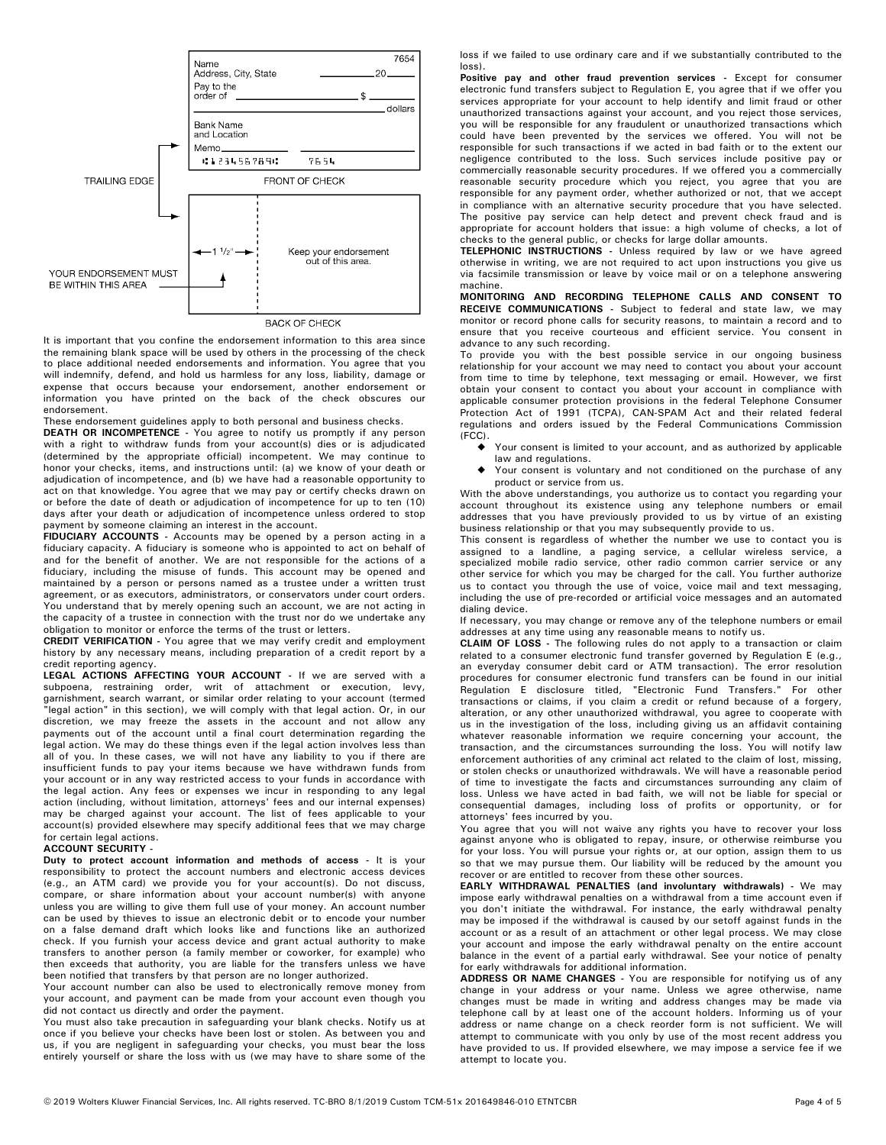

**BACK OF CHECK** 

It is important that you confine the endorsement information to this area since the remaining blank space will be used by others in the processing of the check to place additional needed endorsements and information. You agree that you will indemnify, defend, and hold us harmless for any loss, liability, damage or expense that occurs because your endorsement, another endorsement or information you have printed on the back of the check obscures our endorsement.

These endorsement guidelines apply to both personal and business checks.

**DEATH OR INCOMPETENCE -** You agree to notify us promptly if any person with a right to withdraw funds from your account(s) dies or is adjudicated (determined by the appropriate official) incompetent. We may continue to honor your checks, items, and instructions until: (a) we know of your death or adjudication of incompetence, and (b) we have had a reasonable opportunity to act on that knowledge. You agree that we may pay or certify checks drawn on or before the date of death or adjudication of incompetence for up to ten (10) days after your death or adjudication of incompetence unless ordered to stop payment by someone claiming an interest in the account.

**FIDUCIARY ACCOUNTS -** Accounts may be opened by a person acting in a fiduciary capacity. A fiduciary is someone who is appointed to act on behalf of and for the benefit of another. We are not responsible for the actions of a fiduciary, including the misuse of funds. This account may be opened and maintained by a person or persons named as a trustee under a written trust agreement, or as executors, administrators, or conservators under court orders. You understand that by merely opening such an account, we are not acting in the capacity of a trustee in connection with the trust nor do we undertake any obligation to monitor or enforce the terms of the trust or letters.

**CREDIT VERIFICATION -** You agree that we may verify credit and employment history by any necessary means, including preparation of a credit report by a credit reporting agency.

**LEGAL ACTIONS AFFECTING YOUR ACCOUNT** - If we are served with a subpoena, restraining order, writ of attachment or execution, levy, garnishment, search warrant, or similar order relating to your account (termed "legal action" in this section), we will comply with that legal action. Or, in our discretion, we may freeze the assets in the account and not allow any payments out of the account until a final court determination regarding the legal action. We may do these things even if the legal action involves less than all of you. In these cases, we will not have any liability to you if there are insufficient funds to pay your items because we have withdrawn funds from your account or in any way restricted access to your funds in accordance with the legal action. Any fees or expenses we incur in responding to any legal action (including, without limitation, attorneys' fees and our internal expenses) may be charged against your account. The list of fees applicable to your account(s) provided elsewhere may specify additional fees that we may charge for certain legal actions.

#### **ACCOUNT SECURITY -**

**Duty to protect account information and methods of access -** It is your responsibility to protect the account numbers and electronic access devices (e.g., an ATM card) we provide you for your account(s). Do not discuss, compare, or share information about your account number(s) with anyone unless you are willing to give them full use of your money. An account number can be used by thieves to issue an electronic debit or to encode your number on a false demand draft which looks like and functions like an authorized check. If you furnish your access device and grant actual authority to make transfers to another person (a family member or coworker, for example) who then exceeds that authority, you are liable for the transfers unless we have been notified that transfers by that person are no longer authorized.

Your account number can also be used to electronically remove money from your account, and payment can be made from your account even though you did not contact us directly and order the payment.

You must also take precaution in safeguarding your blank checks. Notify us at once if you believe your checks have been lost or stolen. As between you and us, if you are negligent in safeguarding your checks, you must bear the loss entirely yourself or share the loss with us (we may have to share some of the

loss if we failed to use ordinary care and if we substantially contributed to the loss).

**Positive pay and other fraud prevention services -** Except for consumer electronic fund transfers subject to Regulation E, you agree that if we offer you services appropriate for your account to help identify and limit fraud or other unauthorized transactions against your account, and you reject those services, you will be responsible for any fraudulent or unauthorized transactions which could have been prevented by the services we offered. You will not be responsible for such transactions if we acted in bad faith or to the extent our negligence contributed to the loss. Such services include positive pay or commercially reasonable security procedures. If we offered you a commercially reasonable security procedure which you reject, you agree that you are responsible for any payment order, whether authorized or not, that we accept in compliance with an alternative security procedure that you have selected. The positive pay service can help detect and prevent check fraud and is appropriate for account holders that issue: a high volume of checks, a lot of checks to the general public, or checks for large dollar amounts.

TELEPHONIC INSTRUCTIONS - Unless required by law or we have agreed otherwise in writing, we are not required to act upon instructions you give us via facsimile transmission or leave by voice mail or on a telephone answering machine.

RECEIVE COMMUNICATIONS - Subject to federal and state law, we may monitor or record phone calls for security reasons, to maintain a record and to ensure that you receive courteous and efficient service. You consent in advance to any such recording. **MONITORING AND RECORDING TELEPHONE CALLS AND CONSENT TO**

To provide you with the best possible service in our ongoing business relationship for your account we may need to contact you about your account from time to time by telephone, text messaging or email. However, we first obtain your consent to contact you about your account in compliance with applicable consumer protection provisions in the federal Telephone Consumer Protection Act of 1991 (TCPA), CAN-SPAM Act and their related federal regulations and orders issued by the Federal Communications Commission (FCC).

- Your consent is limited to your account, and as authorized by applicable law and regulations.  $\bullet$
- Your consent is voluntary and not conditioned on the purchase of any product or service from us.  $\bullet$

With the above understandings, you authorize us to contact you regarding your account throughout its existence using any telephone numbers or email addresses that you have previously provided to us by virtue of an existing business relationship or that you may subsequently provide to us.

This consent is regardless of whether the number we use to contact you is assigned to a landline, a paging service, a cellular wireless service, a specialized mobile radio service, other radio common carrier service or any other service for which you may be charged for the call. You further authorize us to contact you through the use of voice, voice mail and text messaging, including the use of pre-recorded or artificial voice messages and an automated dialing device.

If necessary, you may change or remove any of the telephone numbers or email addresses at any time using any reasonable means to notify us.

CLAIM OF LOSS - The following rules do not apply to a transaction or claim related to a consumer electronic fund transfer governed by Regulation E (e.g., an everyday consumer debit card or ATM transaction). The error resolution procedures for consumer electronic fund transfers can be found in our initial Regulation E disclosure titled, "Electronic Fund Transfers." For other transactions or claims, if you claim a credit or refund because of a forgery, alteration, or any other unauthorized withdrawal, you agree to cooperate with us in the investigation of the loss, including giving us an affidavit containing whatever reasonable information we require concerning your account, the transaction, and the circumstances surrounding the loss. You will notify law enforcement authorities of any criminal act related to the claim of lost, missing, or stolen checks or unauthorized withdrawals. We will have a reasonable period of time to investigate the facts and circumstances surrounding any claim of loss. Unless we have acted in bad faith, we will not be liable for special or consequential damages, including loss of profits or opportunity, or for attorneys' fees incurred by you.

You agree that you will not waive any rights you have to recover your loss against anyone who is obligated to repay, insure, or otherwise reimburse you for your loss. You will pursue your rights or, at our option, assign them to us so that we may pursue them. Our liability will be reduced by the amount you recover or are entitled to recover from these other sources.

**EARLY WITHDRAWAL PENALTIES (and involuntary withdrawals) -** We may impose early withdrawal penalties on a withdrawal from a time account even if you don't initiate the withdrawal. For instance, the early withdrawal penalty may be imposed if the withdrawal is caused by our setoff against funds in the account or as a result of an attachment or other legal process. We may close your account and impose the early withdrawal penalty on the entire account balance in the event of a partial early withdrawal. See your notice of penalty for early withdrawals for additional information.

**ADDRESS OR NAME CHANGES** - You are responsible for notifying us of any change in your address or your name. Unless we agree otherwise, name changes must be made in writing and address changes may be made via telephone call by at least one of the account holders. Informing us of your address or name change on a check reorder form is not sufficient. We will attempt to communicate with you only by use of the most recent address you have provided to us. If provided elsewhere, we may impose a service fee if we attempt to locate you.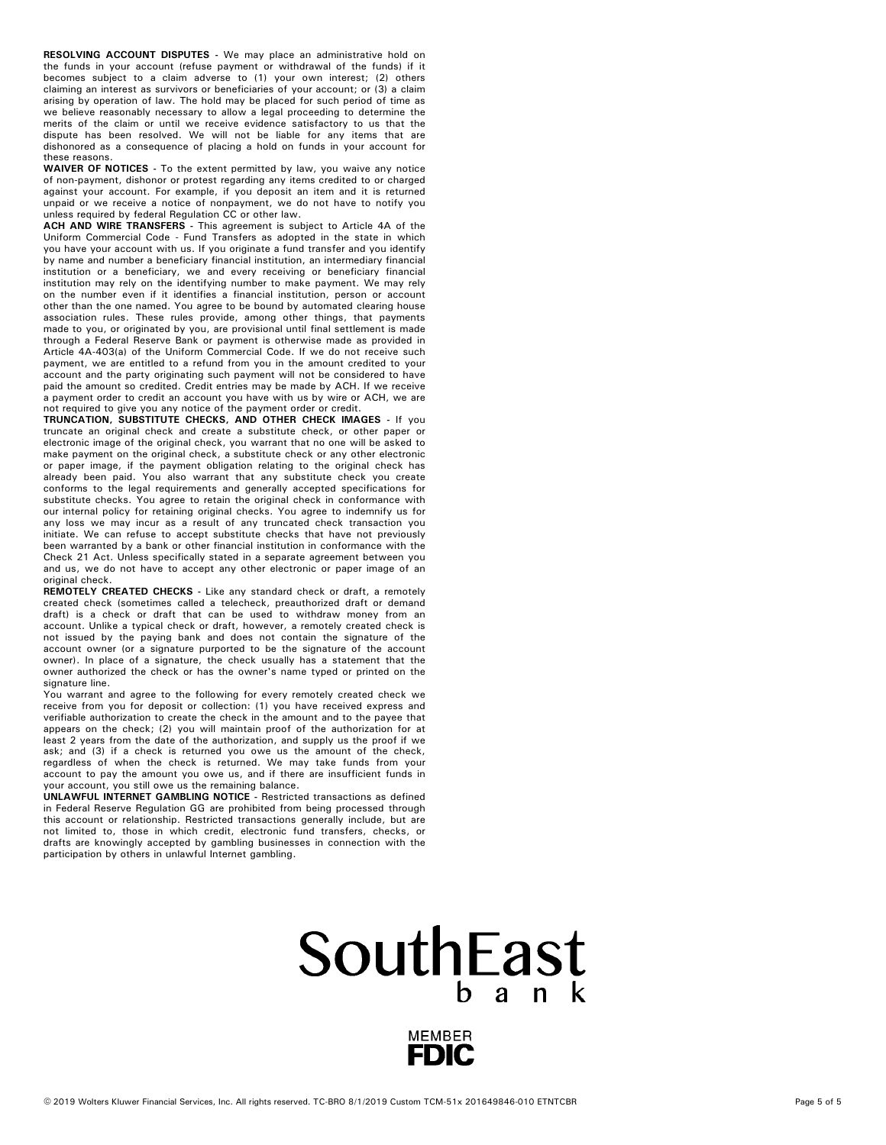**RESOLVING ACCOUNT DISPUTES -** We may place an administrative hold on the funds in your account (refuse payment or withdrawal of the funds) if it becomes subject to a claim adverse to (1) your own interest; (2) others claiming an interest as survivors or beneficiaries of your account; or (3) a claim arising by operation of law. The hold may be placed for such period of time as we believe reasonably necessary to allow a legal proceeding to determine the merits of the claim or until we receive evidence satisfactory to us that the dispute has been resolved. We will not be liable for any items that are dishonored as a consequence of placing a hold on funds in your account for these reasons.

**WAIVER OF NOTICES -** To the extent permitted by law, you waive any notice of non-payment, dishonor or protest regarding any items credited to or charged against your account. For example, if you deposit an item and it is returned unpaid or we receive a notice of nonpayment, we do not have to notify you unless required by federal Regulation CC or other law.

**ACH AND WIRE TRANSFERS -** This agreement is subject to Article 4A of the Uniform Commercial Code - Fund Transfers as adopted in the state in which you have your account with us. If you originate a fund transfer and you identify by name and number a beneficiary financial institution, an intermediary financial institution or a beneficiary, we and every receiving or beneficiary financial institution may rely on the identifying number to make payment. We may rely on the number even if it identifies a financial institution, person or account other than the one named. You agree to be bound by automated clearing house association rules. These rules provide, among other things, that payments made to you, or originated by you, are provisional until final settlement is made through a Federal Reserve Bank or payment is otherwise made as provided in Article 4A-403(a) of the Uniform Commercial Code. If we do not receive such payment, we are entitled to a refund from you in the amount credited to your account and the party originating such payment will not be considered to have paid the amount so credited. Credit entries may be made by ACH. If we receive a payment order to credit an account you have with us by wire or ACH, we are not required to give you any notice of the payment order or credit.

**TRUNCATION, SUBSTITUTE CHECKS, AND OTHER CHECK IMAGES -** If you truncate an original check and create a substitute check, or other paper or electronic image of the original check, you warrant that no one will be asked to make payment on the original check, a substitute check or any other electronic or paper image, if the payment obligation relating to the original check has already been paid. You also warrant that any substitute check you create conforms to the legal requirements and generally accepted specifications for substitute checks. You agree to retain the original check in conformance with our internal policy for retaining original checks. You agree to indemnify us for any loss we may incur as a result of any truncated check transaction you initiate. We can refuse to accept substitute checks that have not previously been warranted by a bank or other financial institution in conformance with the Check 21 Act. Unless specifically stated in a separate agreement between you and us, we do not have to accept any other electronic or paper image of an original check.

**REMOTELY CREATED CHECKS -** Like any standard check or draft, a remotely created check (sometimes called a telecheck, preauthorized draft or demand draft) is a check or draft that can be used to withdraw money from an account. Unlike a typical check or draft, however, a remotely created check is not issued by the paying bank and does not contain the signature of the account owner (or a signature purported to be the signature of the account owner). In place of a signature, the check usually has a statement that the owner authorized the check or has the owner's name typed or printed on the signature line.

You warrant and agree to the following for every remotely created check we receive from you for deposit or collection: (1) you have received express and verifiable authorization to create the check in the amount and to the payee that appears on the check; (2) you will maintain proof of the authorization for at least 2 years from the date of the authorization, and supply us the proof if we ask; and (3) if a check is returned you owe us the amount of the check, regardless of when the check is returned. We may take funds from your account to pay the amount you owe us, and if there are insufficient funds in your account, you still owe us the remaining balance.

UNLAWFUL INTERNET GAMBLING NOTICE - Restricted transactions as defined in Federal Reserve Regulation GG are prohibited from being processed through this account or relationship. Restricted transactions generally include, but are not limited to, those in which credit, electronic fund transfers, checks, or drafts are knowingly accepted by gambling businesses in connection with the participation by others in unlawful Internet gambling.

## SouthEast  $h$  ank

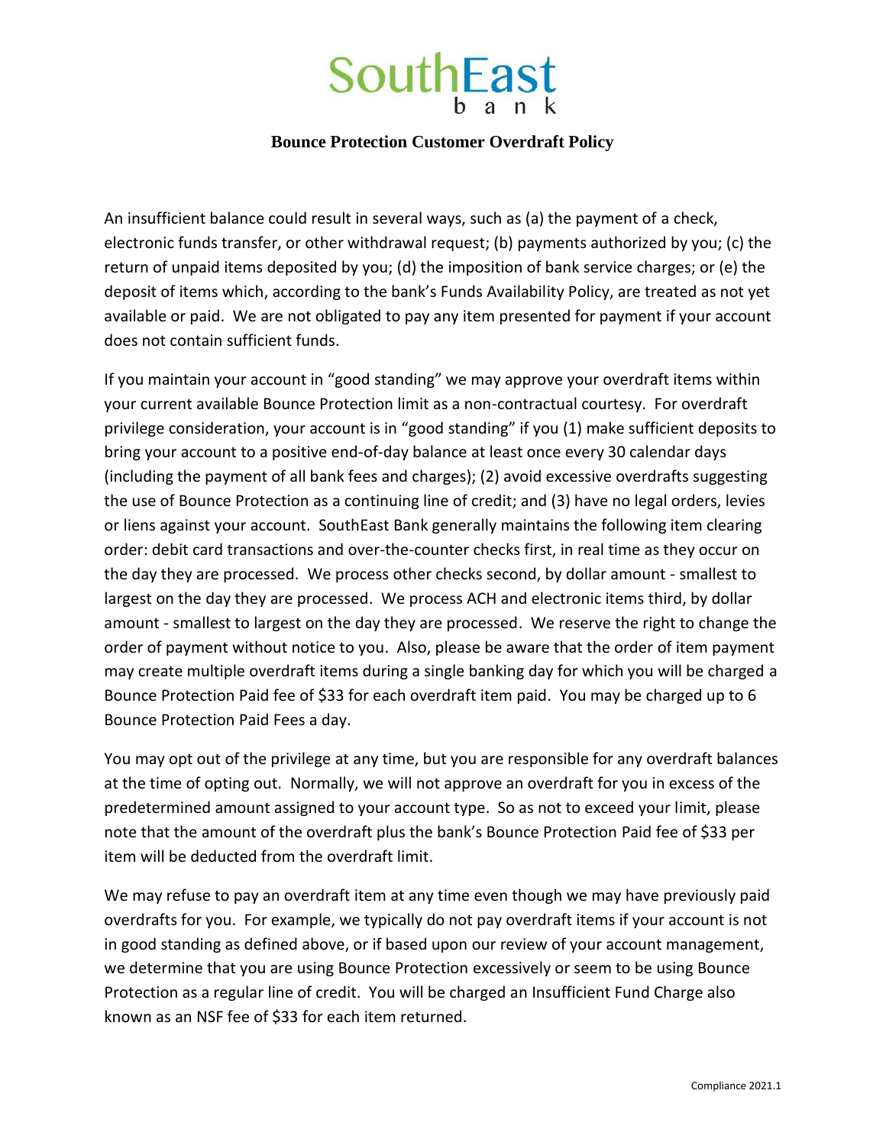# **SouthEast**

#### **Bounce Protection Customer Overdraft Policy**

An insufficient balance could result in several ways, such as (a) the payment of a check, electronic funds transfer, or other withdrawal request; (b) payments authorized by you; (c) the return of unpaid items deposited by you; (d) the imposition of bank service charges; or (e) the deposit of items which, according to the bank's Funds Availability Policy, are treated as not yet available or paid. We are not obligated to pay any item presented for payment if your account does not contain sufficient funds.

If you maintain your account in "good standing" we may approve your overdraft items within your current available Bounce Protection limit as a non-contractual courtesy. For overdraft privilege consideration, your account is in "good standing" if you (1) make sufficient deposits to bring your account to a positive end-of-day balance at least once every 30 calendar days (including the payment of all bank fees and charges); (2) avoid excessive overdrafts suggesting the use of Bounce Protection as a continuing line of credit; and (3) have no legal orders, levies or liens against your account. SouthEast Bank generally maintains the following item clearing order: debit card transactions and over-the-counter checks first, in real time as they occur on the day they are processed. We process other checks second, by dollar amount - smallest to largest on the day they are processed. We process ACH and electronic items third, by dollar amount - smallest to largest on the day they are processed. We reserve the right to change the order of payment without notice to you. Also, please be aware that the order of item payment may create multiple overdraft items during a single banking day for which you will be charged a Bounce Protection Paid fee of \$33 for each overdraft item paid. You may be charged up to 6 Bounce Protection Paid Fees a day.

You may opt out of the privilege at any time, but you are responsible for any overdraft balances at the time of opting out. Normally, we will not approve an overdraft for you in excess of the predetermined amount assigned to your account type. So as not to exceed your limit, please note that the amount of the overdraft plus the bank's Bounce Protection Paid fee of \$33 per item will be deducted from the overdraft limit.

We may refuse to pay an overdraft item at any time even though we may have previously paid overdrafts for you. For example, we typically do not pay overdraft items if your account is not in good standing as defined above, or if based upon our review of your account management, we determine that you are using Bounce Protection excessively or seem to be using Bounce Protection as a regular line of credit. You will be charged an Insufficient Fund Charge also known as an NSF fee of \$33 for each item returned.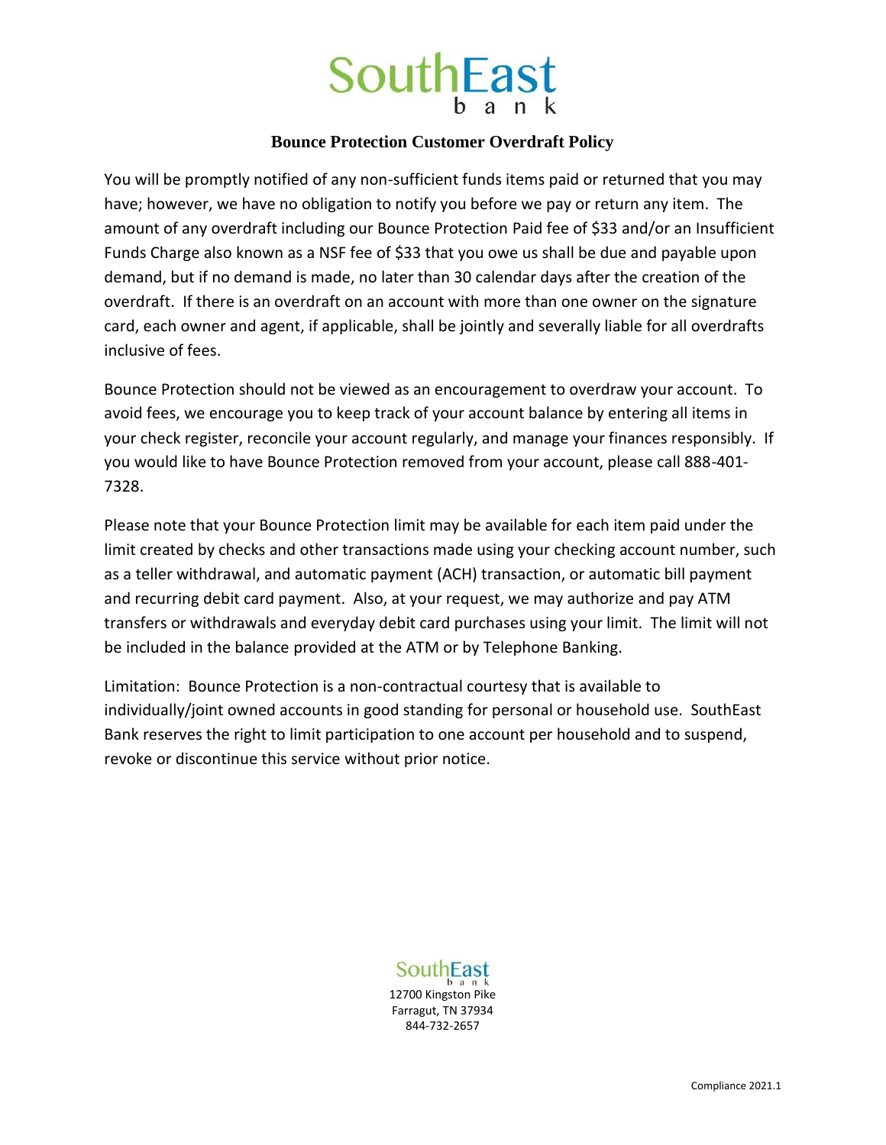

#### **Bounce Protection Customer Overdraft Policy**

You will be promptly notified of any non-sufficient funds items paid or returned that you may have; however, we have no obligation to notify you before we pay or return any item. The amount of any overdraft including our Bounce Protection Paid fee of \$33 and/or an Insufficient Funds Charge also known as a NSF fee of \$33 that you owe us shall be due and payable upon demand, but if no demand is made, no later than 30 calendar days after the creation of the overdraft. If there is an overdraft on an account with more than one owner on the signature card, each owner and agent, if applicable, shall be jointly and severally liable for all overdrafts inclusive of fees.

Bounce Protection should not be viewed as an encouragement to overdraw your account. To avoid fees, we encourage you to keep track of your account balance by entering all items in your check register, reconcile your account regularly, and manage your finances responsibly. If you would like to have Bounce Protection removed from your account, please call 888-401- 7328.

Please note that your Bounce Protection limit may be available for each item paid under the limit created by checks and other transactions made using your checking account number, such as a teller withdrawal, and automatic payment (ACH) transaction, or automatic bill payment and recurring debit card payment. Also, at your request, we may authorize and pay ATM transfers or withdrawals and everyday debit card purchases using your limit. The limit will not be included in the balance provided at the ATM or by Telephone Banking.

Limitation: Bounce Protection is a non-contractual courtesy that is available to individually/joint owned accounts in good standing for personal or household use. SouthEast Bank reserves the right to limit participation to one account per household and to suspend, revoke or discontinue this service without prior notice.

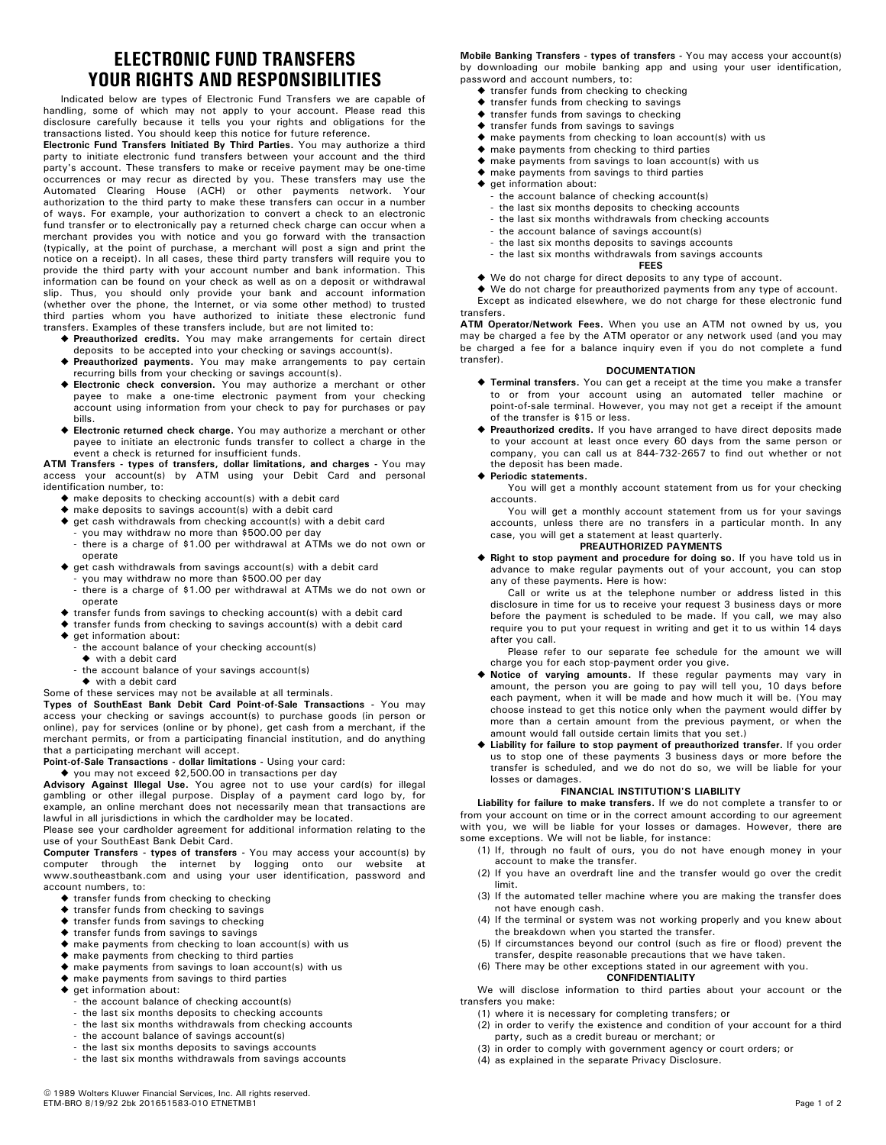## **ELECTRONIC FUND TRANSFERS YOUR RIGHTS AND RESPONSIBILITIES**

Indicated below are types of Electronic Fund Transfers we are capable of handling, some of which may not apply to your account. Please read this disclosure carefully because it tells you your rights and obligations for the transactions listed. You should keep this notice for future reference.

**Electronic Fund Transfers Initiated By Third Parties.** You may authorize a third party to initiate electronic fund transfers between your account and the third party's account. These transfers to make or receive payment may be one-time occurrences or may recur as directed by you. These transfers may use the Automated Clearing House (ACH) or other payments network. Your authorization to the third party to make these transfers can occur in a number of ways. For example, your authorization to convert a check to an electronic fund transfer or to electronically pay a returned check charge can occur when a merchant provides you with notice and you go forward with the transaction (typically, at the point of purchase, a merchant will post a sign and print the notice on a receipt). In all cases, these third party transfers will require you to provide the third party with your account number and bank information. This information can be found on your check as well as on a deposit or withdrawal slip. Thus, you should only provide your bank and account information (whether over the phone, the Internet, or via some other method) to trusted third parties whom you have authorized to initiate these electronic fund transfers. Examples of these transfers include, but are not limited to:

- ◆ Preauthorized credits. You may make arrangements for certain direct deposits to be accepted into your checking or savings account(s).
- ◆ Preauthorized payments. You may make arrangements to pay certain recurring bills from your checking or savings account(s).
- ◆ Electronic check conversion. You may authorize a merchant or other payee to make a one-time electronic payment from your checking account using information from your check to pay for purchases or pay bills.
- ◆ Electronic returned check charge. You may authorize a merchant or other payee to initiate an electronic funds transfer to collect a charge in the event a check is returned for insufficient funds.

**ATM Transfers - types of transfers, dollar limitations, and charges -** You may access your account(s) by ATM using your Debit Card and personal identification number, to:

- make deposits to checking account(s) with a debit card }
- make deposits to savings account(s) with a debit card }
- $\blacklozenge$  get cash withdrawals from checking account(s) with a debit card
- you may withdraw no more than \$500.00 per day there is a charge of \$1.00 per withdrawal at ATMs we do not own or operate
- $\blacklozenge$  get cash withdrawals from savings account(s) with a debit card
- you may withdraw no more than \$500.00 per day
- there is a charge of \$1.00 per withdrawal at ATMs we do not own or operate
- $\blacklozenge$  transfer funds from savings to checking account(s) with a debit card
- transfer funds from checking to savings account(s) with a debit card }
- ◆ get information about:
- the account balance of your checking account(s)
- ◆ with a debit card
- ◆ with a debit card - the account balance of your savings account(s)

#### Some of these services may not be available at all terminals.

**Types of SouthEast Bank Debit Card Point-of-Sale Transactions -** You may access your checking or savings account(s) to purchase goods (in person or online), pay for services (online or by phone), get cash from a merchant, if the merchant permits, or from a participating financial institution, and do anything that a participating merchant will accept.

Point-of-Sale Transactions - dollar limitations - Using your card:

**Advisory Against Illegal Use.** You agree not to use your card(s) for illegal gambling or other illegal purpose. Display of a payment card logo by, for ◆ you may not exceed \$2,500.00 in transactions per day

example, an online merchant does not necessarily mean that transactions are lawful in all jurisdictions in which the cardholder may be located. Please see your cardholder agreement for additional information relating to the use of your SouthEast Bank Debit Card.

Computer Transfers - types of transfers - You may access your account(s) by computer through the internet by logging onto our website at www.southeastbank.com and using your user identification, password and account numbers, to:

- $\blacklozenge$  transfer funds from checking to checking
- $\blacklozenge$  transfer funds from checking to savings
- $\blacklozenge$  transfer funds from savings to checking
- $\blacklozenge$  transfer funds from savings to savings
- $\blacklozenge$  make payments from checking to loan account(s) with us
- $\blacklozenge$  make payments from checking to third parties
- make payments from savings to loan account(s) with us }  $\blacklozenge$  make payments from savings to third parties
- ◆ get information about:
	- the account balance of checking account(s)
	- the last six months deposits to checking accounts
	- the last six months withdrawals from checking accounts
	- the account balance of savings account(s) - the last six months deposits to savings accounts
	-
	- the last six months withdrawals from savings accounts

**Mobile Banking Transfers - types of transfers -** You may access your account(s) by downloading our mobile banking app and using your user identification, password and account numbers, to:

- $\blacklozenge$  transfer funds from checking to checking
- $\blacklozenge$  transfer funds from checking to savings
- $\blacklozenge$  transfer funds from savings to checking
- $\blacklozenge$  transfer funds from savings to savings
- $\blacklozenge$  make payments from checking to loan account(s) with us
- $\blacklozenge$  make payments from checking to third parties
- make payments from savings to loan account(s) with us }
- $\blacklozenge$  make payments from savings to third parties
- ◆ get information about:
	- the account balance of checking account(s)
	- the last six months deposits to checking accounts
	- the last six months withdrawals from checking accounts
- the account balance of savings account(s)
- the last six months deposits to savings accounts
- **FEES** - the last six months withdrawals from savings accounts
- ◆ We do not charge for direct deposits to any type of account.

We do not charge for preauthorized payments from any type of account. } Except as indicated elsewhere, we do not charge for these electronic fund

**ATM Operator/Network Fees.** When you use an ATM not owned by us, you may be charged a fee by the ATM operator or any network used (and you may be charged a fee for a balance inquiry even if you do not complete a fund transfer). transfers.

#### **DOCUMENTATION**

- $\blacklozenge$  Terminal transfers. You can get a receipt at the time you make a transfer to or from your account using an automated teller machine or point-of-sale terminal. However, you may not get a receipt if the amount of the transfer is \$15 or less.
- ◆ Preauthorized credits. If you have arranged to have direct deposits made to your account at least once every 60 days from the same person or company, you can call us at 844-732-2657 to find out whether or not the deposit has been made.
- } **Periodic statements.**

You will get a monthly account statement from us for your checking accounts.

You will get a monthly account statement from us for your savings accounts, unless there are no transfers in a particular month. In any case, you will get a statement at least quarterly.

#### **PREAUTHORIZED PAYMENTS**

◆ Right to stop payment and procedure for doing so. If you have told us in advance to make regular payments out of your account, you can stop any of these payments. Here is how:

Call or write us at the telephone number or address listed in this disclosure in time for us to receive your request 3 business days or more before the payment is scheduled to be made. If you call, we may also require you to put your request in writing and get it to us within 14 days after you call.

Please refer to our separate fee schedule for the amount we will charge you for each stop-payment order you give.

- $\blacklozenge$  **Notice of varying amounts.** If these regular payments may vary in amount, the person you are going to pay will tell you, 10 days before each payment, when it will be made and how much it will be. (You may choose instead to get this notice only when the payment would differ by more than a certain amount from the previous payment, or when the amount would fall outside certain limits that you set.)
- Iiability for failure to stop payment of preauthorized transfer. If you order us to stop one of these payments 3 business days or more before the transfer is scheduled, and we do not do so, we will be liable for your losses or damages.

#### **FINANCIAL INSTITUTION'S LIABILITY**

Liability for failure to make transfers. If we do not complete a transfer to or from your account on time or in the correct amount according to our agreement with you, we will be liable for your losses or damages. However, there are some exceptions. We will not be liable, for instance:

- (1) If, through no fault of ours, you do not have enough money in your account to make the transfer.
- (2) If you have an overdraft line and the transfer would go over the credit limit.
- (3) If the automated teller machine where you are making the transfer does not have enough cash.
- (4) If the terminal or system was not working properly and you knew about the breakdown when you started the transfer.
- (5) If circumstances beyond our control (such as fire or flood) prevent the transfer, despite reasonable precautions that we have taken.
- (6) There may be other exceptions stated in our agreement with you.

**CONFIDENTIALITY** We will disclose information to third parties about your account or the

transfers you make: (1) where it is necessary for completing transfers; or

- (2) in order to verify the existence and condition of your account for a third party, such as a credit bureau or merchant; or
- (3) in order to comply with government agency or court orders; or
- (4) as explained in the separate Privacy Disclosure.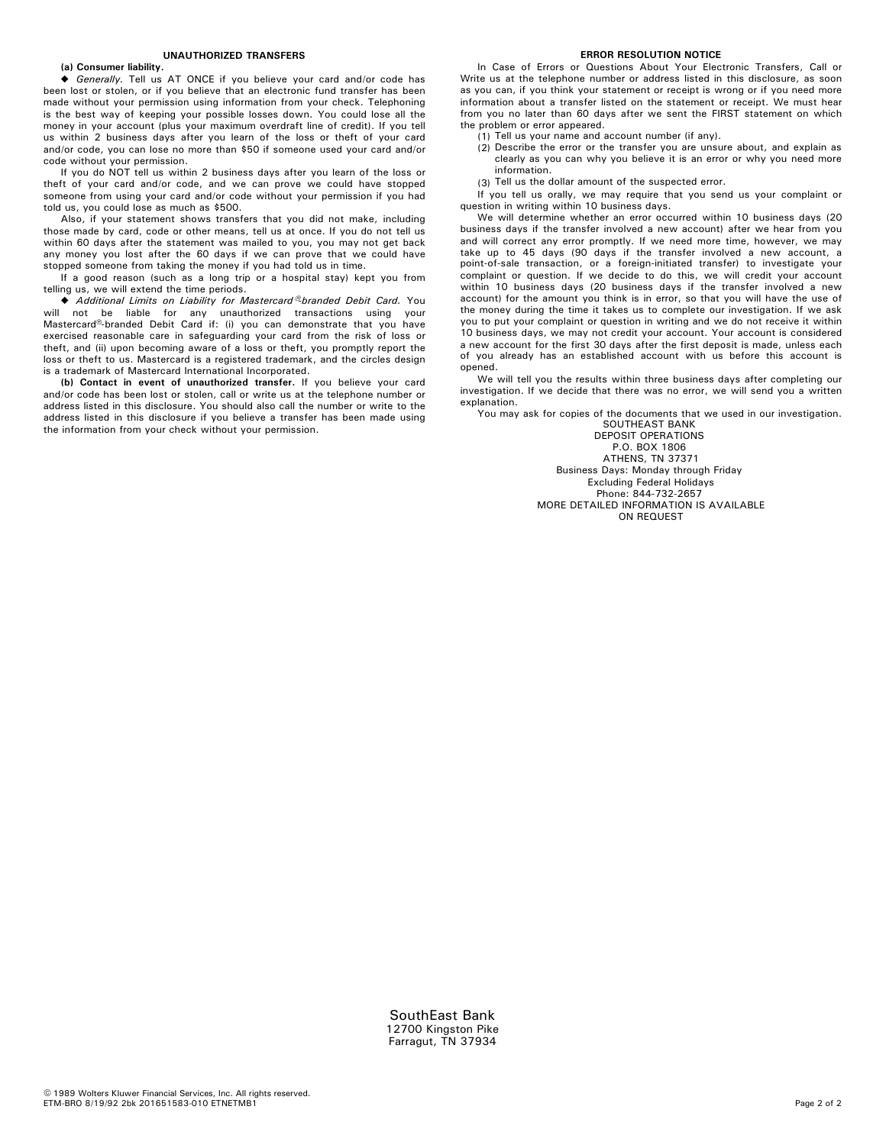#### **UNAUTHORIZED TRANSFERS**

#### **(a) Consumer liability.**

◆ Generally. Tell us AT ONCE if you believe your card and/or code has been lost or stolen, or if you believe that an electronic fund transfer has been made without your permission using information from your check. Telephoning is the best way of keeping your possible losses down. You could lose all the money in your account (plus your maximum overdraft line of credit). If you tell us within 2 business days after you learn of the loss or theft of your card and/or code, you can lose no more than \$50 if someone used your card and/or code without your permission.

If you do NOT tell us within 2 business days after you learn of the loss or theft of your card and/or code, and we can prove we could have stopped someone from using your card and/or code without your permission if you had told us, you could lose as much as \$500.

Also, if your statement shows transfers that you did not make, including those made by card, code or other means, tell us at once. If you do not tell us within 60 days after the statement was mailed to you, you may not get back any money you lost after the 60 days if we can prove that we could have stopped someone from taking the money if you had told us in time.

If a good reason (such as a long trip or a hospital stay) kept you from telling us, we will extend the time periods.

 $\blacklozenge$  Additional Limits on Liability for Mastercard <sup>®</sup>branded Debit Card. You will not be liable for any unauthorized transactions using your Mastercard<sup>®</sup>-branded Debit Card if: (i) you can demonstrate that you have exercised reasonable care in safeguarding your card from the risk of loss or theft, and (ii) upon becoming aware of a loss or theft, you promptly report the loss or theft to us. Mastercard is a registered trademark, and the circles design is a trademark of Mastercard International Incorporated.

**(b) Contact in event of unauthorized transfer.** If you believe your card and/or code has been lost or stolen, call or write us at the telephone number or address listed in this disclosure. You should also call the number or write to the address listed in this disclosure if you believe a transfer has been made using the information from your check without your permission.

#### **ERROR RESOLUTION NOTICE**

In Case of Errors or Questions About Your Electronic Transfers, Call or Write us at the telephone number or address listed in this disclosure, as soon as you can, if you think your statement or receipt is wrong or if you need more information about a transfer listed on the statement or receipt. We must hear from you no later than 60 days after we sent the FIRST statement on which the problem or error appeared.

(1) Tell us your name and account number (if any).

- Describe the error or the transfer you are unsure about, and explain as (2) clearly as you can why you believe it is an error or why you need more information.
- Tell us the dollar amount of the suspected error. (3)

If you tell us orally, we may require that you send us your complaint or question in writing within 10 business days.

We will determine whether an error occurred within 10 business days (20 business days if the transfer involved a new account) after we hear from you and will correct any error promptly. If we need more time, however, we may take up to 45 days (90 days if the transfer involved a new account, a point-of-sale transaction, or a foreign-initiated transfer) to investigate your complaint or question. If we decide to do this, we will credit your account within 10 business days (20 business days if the transfer involved a new account) for the amount you think is in error, so that you will have the use of the money during the time it takes us to complete our investigation. If we ask you to put your complaint or question in writing and we do not receive it within 10 business days, we may not credit your account. Your account is considered a new account for the first 30 days after the first deposit is made, unless each of you already has an established account with us before this account is opened.

We will tell you the results within three business days after completing our investigation. If we decide that there was no error, we will send you a written explanation.

You may ask for copies of the documents that we used in our investigation.

SOUTHEAST BANK DEPOSIT OPERATIONS P.O. BOX 1806 ATHENS, TN 37371 Business Days: Monday through Friday Excluding Federal Holidays Phone: 844-732-2657 MORE DETAILED INFORMATION IS AVAILABLE ON REQUEST

SouthEast Bank 12700 Kingston Pike Farragut, TN 37934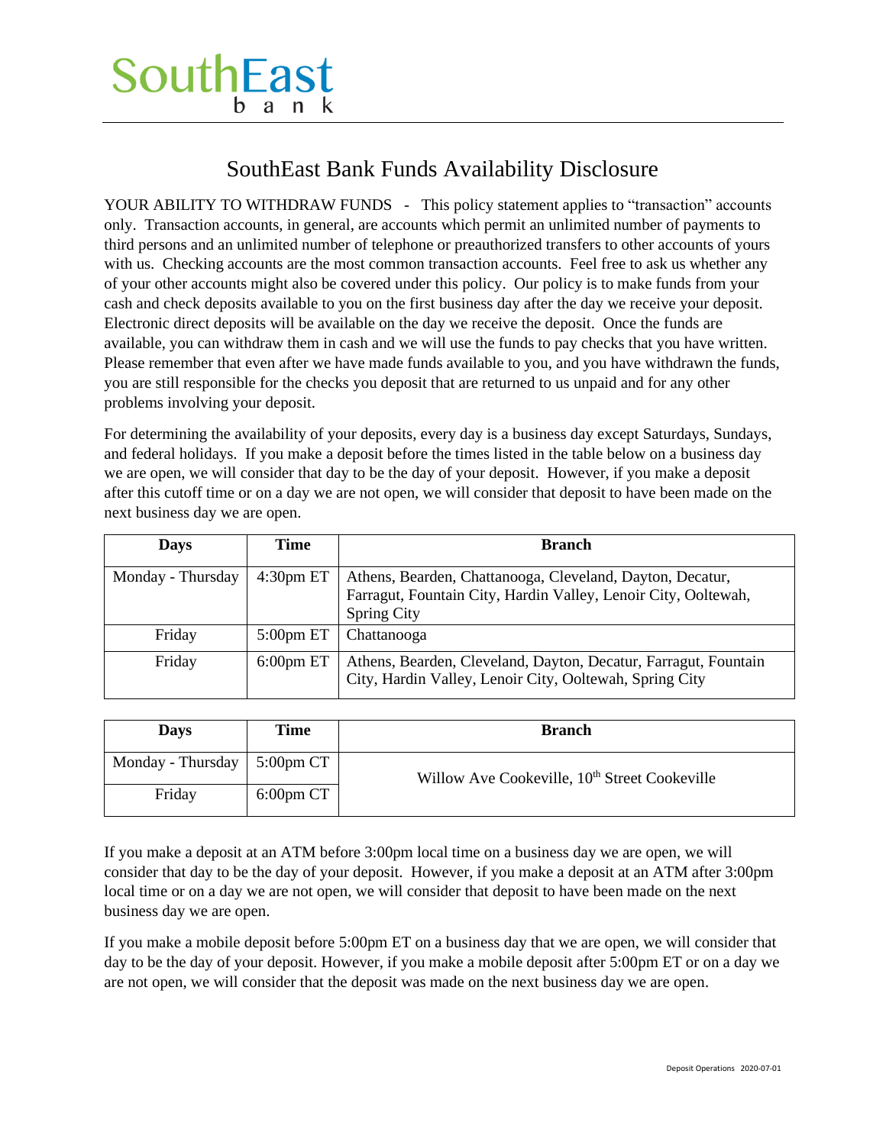## SouthEast Bank Funds Availability Disclosure

YOUR ABILITY TO WITHDRAW FUNDS - This policy statement applies to "transaction" accounts only. Transaction accounts, in general, are accounts which permit an unlimited number of payments to third persons and an unlimited number of telephone or preauthorized transfers to other accounts of yours with us. Checking accounts are the most common transaction accounts. Feel free to ask us whether any of your other accounts might also be covered under this policy. Our policy is to make funds from your cash and check deposits available to you on the first business day after the day we receive your deposit. Electronic direct deposits will be available on the day we receive the deposit. Once the funds are available, you can withdraw them in cash and we will use the funds to pay checks that you have written. Please remember that even after we have made funds available to you, and you have withdrawn the funds, you are still responsible for the checks you deposit that are returned to us unpaid and for any other problems involving your deposit.

For determining the availability of your deposits, every day is a business day except Saturdays, Sundays, and federal holidays. If you make a deposit before the times listed in the table below on a business day we are open, we will consider that day to be the day of your deposit. However, if you make a deposit after this cutoff time or on a day we are not open, we will consider that deposit to have been made on the next business day we are open.

| <b>Days</b>       | Time                  | <b>Branch</b>                                                                                                              |
|-------------------|-----------------------|----------------------------------------------------------------------------------------------------------------------------|
| Monday - Thursday | 4:30 <sub>pm</sub> ET | Athens, Bearden, Chattanooga, Cleveland, Dayton, Decatur,                                                                  |
|                   |                       | Farragut, Fountain City, Hardin Valley, Lenoir City, Ooltewah,                                                             |
|                   |                       | <b>Spring City</b>                                                                                                         |
| Friday            | $5:00$ pm ET          | Chattanooga                                                                                                                |
| Friday            | $6:00$ pm ET          | Athens, Bearden, Cleveland, Dayton, Decatur, Farragut, Fountain<br>City, Hardin Valley, Lenoir City, Ooltewah, Spring City |

| <b>Days</b>                                     | Time         | <b>Branch</b>                                             |
|-------------------------------------------------|--------------|-----------------------------------------------------------|
| Monday - Thursday $\mid 5:00 \text{pm CT} \mid$ |              | Willow Ave Cookeville, 10 <sup>th</sup> Street Cookeville |
| Friday                                          | $6:00$ pm CT |                                                           |

If you make a deposit at an ATM before 3:00pm local time on a business day we are open, we will consider that day to be the day of your deposit. However, if you make a deposit at an ATM after 3:00pm local time or on a day we are not open, we will consider that deposit to have been made on the next business day we are open.

If you make a mobile deposit before 5:00pm ET on a business day that we are open, we will consider that day to be the day of your deposit. However, if you make a mobile deposit after 5:00pm ET or on a day we are not open, we will consider that the deposit was made on the next business day we are open.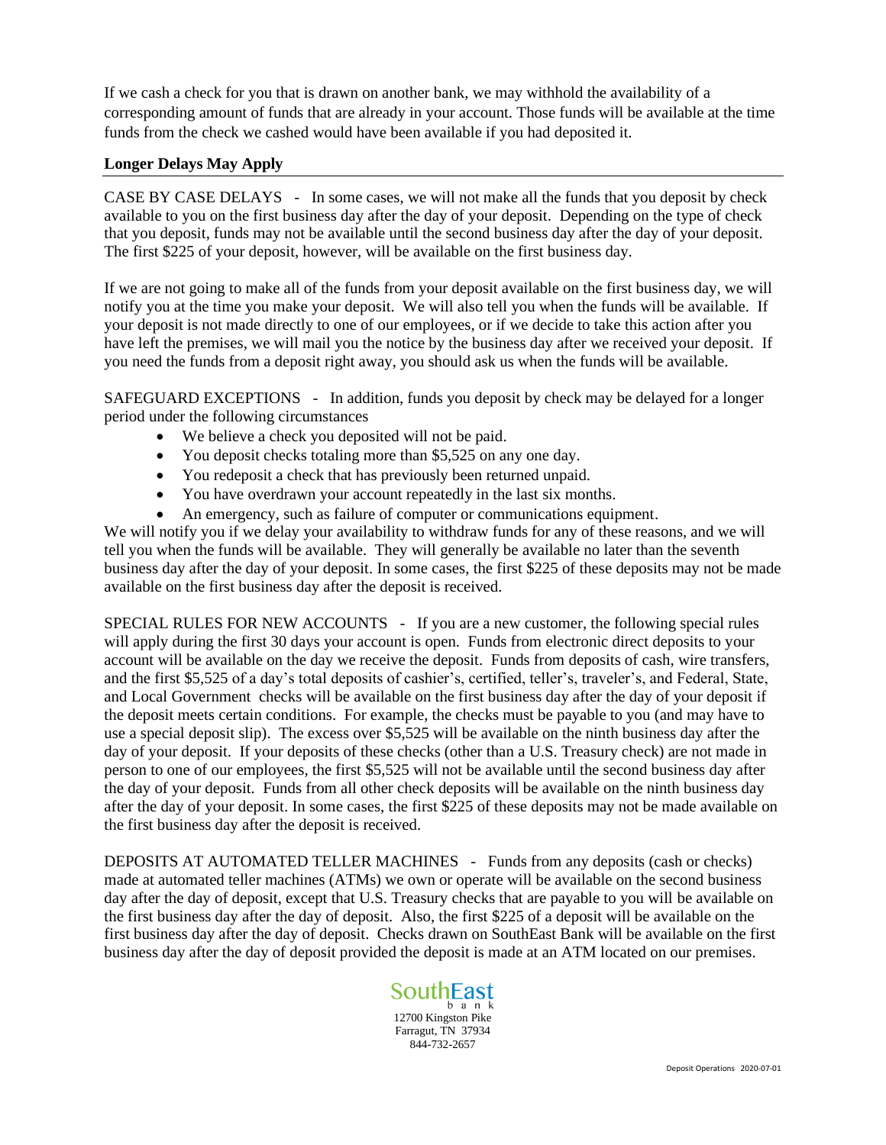If we cash a check for you that is drawn on another bank, we may withhold the availability of a corresponding amount of funds that are already in your account. Those funds will be available at the time funds from the check we cashed would have been available if you had deposited it.

#### **Longer Delays May Apply**

CASE BY CASE DELAYS - In some cases, we will not make all the funds that you deposit by check available to you on the first business day after the day of your deposit. Depending on the type of check that you deposit, funds may not be available until the second business day after the day of your deposit. The first \$225 of your deposit, however, will be available on the first business day.

If we are not going to make all of the funds from your deposit available on the first business day, we will notify you at the time you make your deposit. We will also tell you when the funds will be available. If your deposit is not made directly to one of our employees, or if we decide to take this action after you have left the premises, we will mail you the notice by the business day after we received your deposit. If you need the funds from a deposit right away, you should ask us when the funds will be available.

SAFEGUARD EXCEPTIONS - In addition, funds you deposit by check may be delayed for a longer period under the following circumstances

- We believe a check you deposited will not be paid.
- You deposit checks totaling more than \$5,525 on any one day.
- You redeposit a check that has previously been returned unpaid.
- You have overdrawn your account repeatedly in the last six months.
- An emergency, such as failure of computer or communications equipment.

We will notify you if we delay your availability to withdraw funds for any of these reasons, and we will tell you when the funds will be available. They will generally be available no later than the seventh business day after the day of your deposit. In some cases, the first \$225 of these deposits may not be made available on the first business day after the deposit is received.

SPECIAL RULES FOR NEW ACCOUNTS - If you are a new customer, the following special rules will apply during the first 30 days your account is open. Funds from electronic direct deposits to your account will be available on the day we receive the deposit. Funds from deposits of cash, wire transfers, and the first \$5,525 of a day's total deposits of cashier's, certified, teller's, traveler's, and Federal, State, and Local Government checks will be available on the first business day after the day of your deposit if the deposit meets certain conditions. For example, the checks must be payable to you (and may have to use a special deposit slip). The excess over \$5,525 will be available on the ninth business day after the day of your deposit. If your deposits of these checks (other than a U.S. Treasury check) are not made in person to one of our employees, the first \$5,525 will not be available until the second business day after the day of your deposit. Funds from all other check deposits will be available on the ninth business day after the day of your deposit. In some cases, the first \$225 of these deposits may not be made available on the first business day after the deposit is received.

DEPOSITS AT AUTOMATED TELLER MACHINES - Funds from any deposits (cash or checks) made at automated teller machines (ATMs) we own or operate will be available on the second business day after the day of deposit, except that U.S. Treasury checks that are payable to you will be available on the first business day after the day of deposit. Also, the first \$225 of a deposit will be available on the first business day after the day of deposit. Checks drawn on SouthEast Bank will be available on the first business day after the day of deposit provided the deposit is made at an ATM located on our premises.

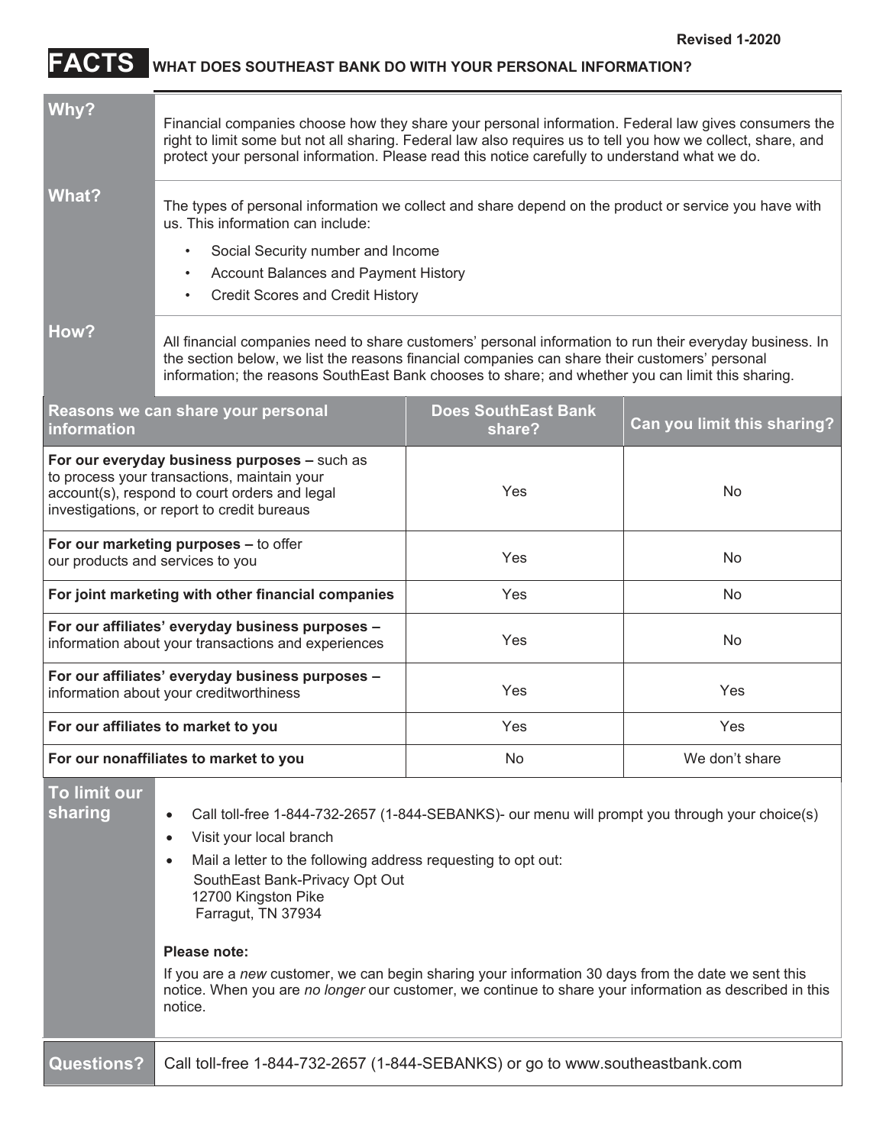## **FACTS WHAT DOES SOUTHEAST BANK DO WITH YOUR PERSONAL INFORMATION?**

| Why?<br><b>What?</b>                                                                                                                                                                                                                                                                                                                                                                                                                                                                                                                              | Financial companies choose how they share your personal information. Federal law gives consumers the<br>right to limit some but not all sharing. Federal law also requires us to tell you how we collect, share, and<br>protect your personal information. Please read this notice carefully to understand what we do.<br>The types of personal information we collect and share depend on the product or service you have with<br>us. This information can include:<br>Social Security number and Income<br>$\bullet$ |                                      |                             |  |
|---------------------------------------------------------------------------------------------------------------------------------------------------------------------------------------------------------------------------------------------------------------------------------------------------------------------------------------------------------------------------------------------------------------------------------------------------------------------------------------------------------------------------------------------------|------------------------------------------------------------------------------------------------------------------------------------------------------------------------------------------------------------------------------------------------------------------------------------------------------------------------------------------------------------------------------------------------------------------------------------------------------------------------------------------------------------------------|--------------------------------------|-----------------------------|--|
| How?                                                                                                                                                                                                                                                                                                                                                                                                                                                                                                                                              | Account Balances and Payment History<br>$\bullet$<br><b>Credit Scores and Credit History</b><br>$\bullet$<br>All financial companies need to share customers' personal information to run their everyday business. In<br>the section below, we list the reasons financial companies can share their customers' personal<br>information; the reasons SouthEast Bank chooses to share; and whether you can limit this sharing.                                                                                           |                                      |                             |  |
| information                                                                                                                                                                                                                                                                                                                                                                                                                                                                                                                                       | Reasons we can share your personal                                                                                                                                                                                                                                                                                                                                                                                                                                                                                     | <b>Does SouthEast Bank</b><br>share? | Can you limit this sharing? |  |
| For our everyday business purposes - such as<br>to process your transactions, maintain your<br>account(s), respond to court orders and legal<br>investigations, or report to credit bureaus                                                                                                                                                                                                                                                                                                                                                       |                                                                                                                                                                                                                                                                                                                                                                                                                                                                                                                        | Yes                                  | No                          |  |
| For our marketing purposes - to offer<br>our products and services to you                                                                                                                                                                                                                                                                                                                                                                                                                                                                         |                                                                                                                                                                                                                                                                                                                                                                                                                                                                                                                        | Yes                                  | No.                         |  |
| For joint marketing with other financial companies                                                                                                                                                                                                                                                                                                                                                                                                                                                                                                |                                                                                                                                                                                                                                                                                                                                                                                                                                                                                                                        | Yes                                  | No.                         |  |
| For our affiliates' everyday business purposes -<br>information about your transactions and experiences                                                                                                                                                                                                                                                                                                                                                                                                                                           |                                                                                                                                                                                                                                                                                                                                                                                                                                                                                                                        | Yes                                  | No.                         |  |
| For our affiliates' everyday business purposes -<br>information about your creditworthiness                                                                                                                                                                                                                                                                                                                                                                                                                                                       |                                                                                                                                                                                                                                                                                                                                                                                                                                                                                                                        | Yes                                  | Yes                         |  |
| For our affiliates to market to you                                                                                                                                                                                                                                                                                                                                                                                                                                                                                                               |                                                                                                                                                                                                                                                                                                                                                                                                                                                                                                                        | Yes                                  | Yes                         |  |
|                                                                                                                                                                                                                                                                                                                                                                                                                                                                                                                                                   | For our nonaffiliates to market to you                                                                                                                                                                                                                                                                                                                                                                                                                                                                                 | No                                   | We don't share              |  |
| To limit our<br>sharing<br>Call toll-free 1-844-732-2657 (1-844-SEBANKS)- our menu will prompt you through your choice(s)<br>Visit your local branch<br>Mail a letter to the following address requesting to opt out:<br>SouthEast Bank-Privacy Opt Out<br>12700 Kingston Pike<br>Farragut, TN 37934<br>Please note:<br>If you are a new customer, we can begin sharing your information 30 days from the date we sent this<br>notice. When you are no longer our customer, we continue to share your information as described in this<br>notice. |                                                                                                                                                                                                                                                                                                                                                                                                                                                                                                                        |                                      |                             |  |
| <b>Questions?</b>                                                                                                                                                                                                                                                                                                                                                                                                                                                                                                                                 | Call toll-free 1-844-732-2657 (1-844-SEBANKS) or go to www.southeastbank.com                                                                                                                                                                                                                                                                                                                                                                                                                                           |                                      |                             |  |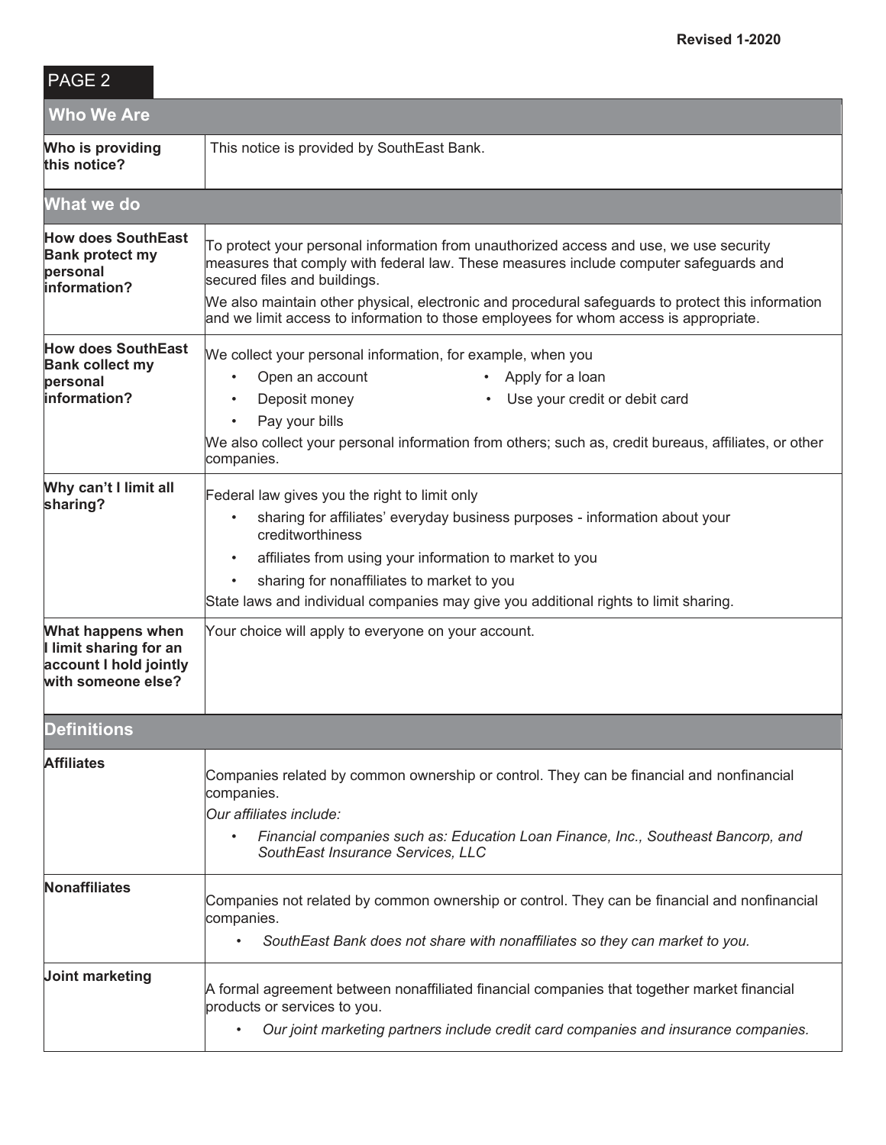## PAGE 2

| <b>Who We Are</b>                                                                           |                                                                                                                                                                                                                                                                                                                                                                                                               |  |  |
|---------------------------------------------------------------------------------------------|---------------------------------------------------------------------------------------------------------------------------------------------------------------------------------------------------------------------------------------------------------------------------------------------------------------------------------------------------------------------------------------------------------------|--|--|
| Who is providing<br>this notice?                                                            | This notice is provided by SouthEast Bank.                                                                                                                                                                                                                                                                                                                                                                    |  |  |
| <b>What we do</b>                                                                           |                                                                                                                                                                                                                                                                                                                                                                                                               |  |  |
| <b>How does SouthEast</b><br><b>Bank protect my</b><br>personal<br>linformation?            | To protect your personal information from unauthorized access and use, we use security<br>measures that comply with federal law. These measures include computer safeguards and<br>secured files and buildings.<br>We also maintain other physical, electronic and procedural safeguards to protect this information<br>and we limit access to information to those employees for whom access is appropriate. |  |  |
| <b>How does SouthEast</b><br><b>Bank collect my</b><br>personal<br>linformation?            | We collect your personal information, for example, when you<br>Open an account<br>Apply for a loan<br>$\bullet$<br>$\bullet$<br>Use your credit or debit card<br>Deposit money<br>Pay your bills<br>We also collect your personal information from others; such as, credit bureaus, affiliates, or other<br>companies.                                                                                        |  |  |
| Why can't I limit all<br>sharing?                                                           | Federal law gives you the right to limit only<br>sharing for affiliates' everyday business purposes - information about your<br>$\bullet$<br>creditworthiness<br>affiliates from using your information to market to you<br>sharing for nonaffiliates to market to you<br>State laws and individual companies may give you additional rights to limit sharing.                                                |  |  |
| What happens when<br>I limit sharing for an<br>account I hold jointly<br>with someone else? | Your choice will apply to everyone on your account.                                                                                                                                                                                                                                                                                                                                                           |  |  |
| <b>Definitions</b>                                                                          |                                                                                                                                                                                                                                                                                                                                                                                                               |  |  |
| <b>Affiliates</b>                                                                           | Companies related by common ownership or control. They can be financial and nonfinancial<br>companies.<br>Our affiliates include:<br>Financial companies such as: Education Loan Finance, Inc., Southeast Bancorp, and<br>$\bullet$<br>SouthEast Insurance Services, LLC                                                                                                                                      |  |  |
| Nonaffiliates                                                                               | Companies not related by common ownership or control. They can be financial and nonfinancial<br>companies.<br>SouthEast Bank does not share with nonaffiliates so they can market to you.<br>$\bullet$                                                                                                                                                                                                        |  |  |
| Joint marketing                                                                             | A formal agreement between nonaffiliated financial companies that together market financial<br>products or services to you.<br>Our joint marketing partners include credit card companies and insurance companies.<br>$\bullet$                                                                                                                                                                               |  |  |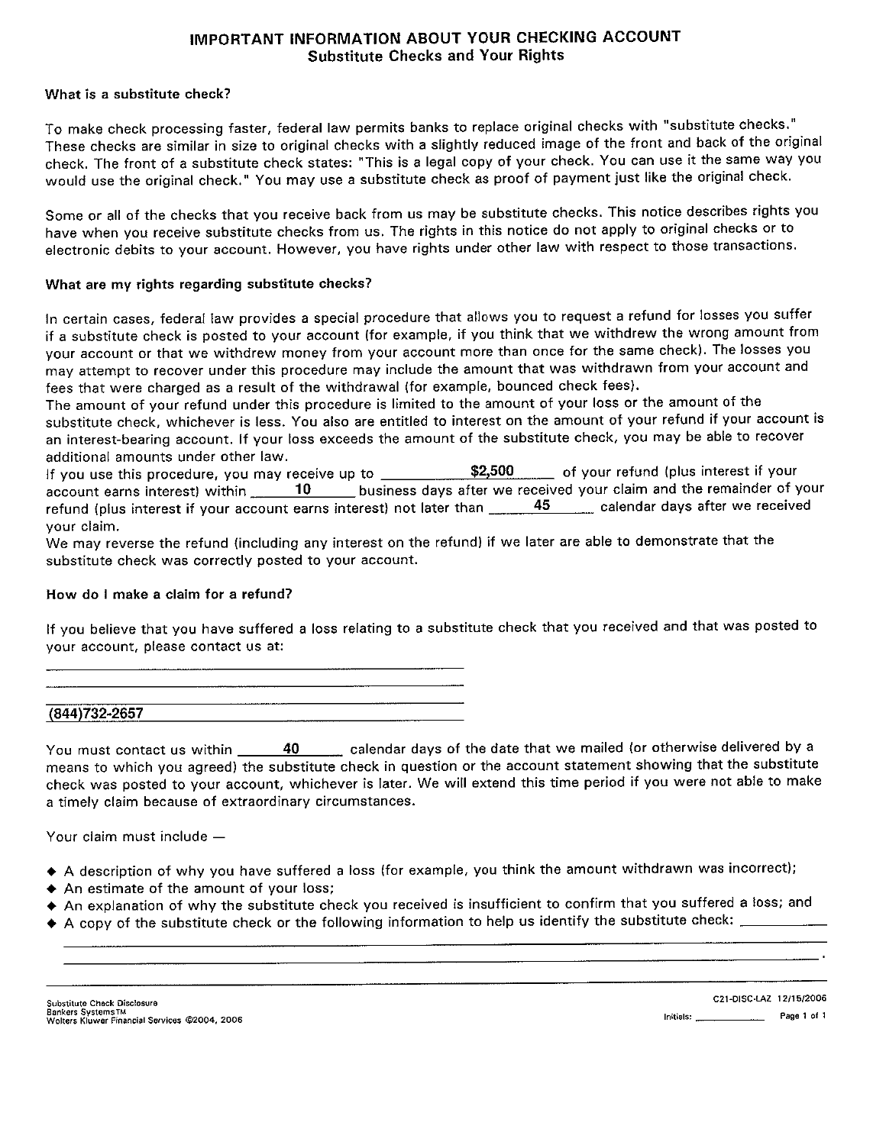#### IMPORTANT INFORMATION ABOUT YOUR CHECKING ACCOUNT **Substitute Checks and Your Rights**

#### What is a substitute check?

To make check processing faster, federal law permits banks to replace original checks with "substitute checks." These checks are similar in size to original checks with a slightly reduced image of the front and back of the original check. The front of a substitute check states: "This is a legal copy of your check. You can use it the same way you would use the original check." You may use a substitute check as proof of payment just like the original check.

Some or all of the checks that you receive back from us may be substitute checks. This notice describes rights you have when you receive substitute checks from us. The rights in this notice do not apply to original checks or to electronic debits to your account. However, you have rights under other law with respect to those transactions.

#### What are my rights regarding substitute checks?

In certain cases, federal law provides a special procedure that allows you to request a refund for losses you suffer if a substitute check is posted to your account (for example, if you think that we withdrew the wrong amount from your account or that we withdrew money from your account more than once for the same check). The losses you may attempt to recover under this procedure may include the amount that was withdrawn from your account and fees that were charged as a result of the withdrawal (for example, bounced check fees).

The amount of your refund under this procedure is limited to the amount of your loss or the amount of the substitute check, whichever is less. You also are entitled to interest on the amount of your refund if your account is an interest-bearing account. If your loss exceeds the amount of the substitute check, you may be able to recover additional amounts under other law.

| If you use this procedure, you may receive up to                     | \$2,500 | of your refund (plus interest if your                                |
|----------------------------------------------------------------------|---------|----------------------------------------------------------------------|
| account earns interest) within $\qquad \qquad$ 10                    |         | business days after we received your claim and the remainder of your |
| refund (plus interest if your account earns interest) not later than | 45      | calendar days after we received                                      |
| vour claim.                                                          |         |                                                                      |

We may reverse the refund (including any interest on the refund) if we later are able to demonstrate that the substitute check was correctly posted to your account.

#### How do I make a claim for a refund?

If you believe that you have suffered a loss relating to a substitute check that you received and that was posted to your account, please contact us at:

(844) 732-2657

You must contact us within \_\_\_\_\_\_\_ 40 \_\_\_\_\_\_ calendar days of the date that we mailed (or otherwise delivered by a means to which you agreed) the substitute check in question or the account statement showing that the substitute check was posted to your account, whichever is later. We will extend this time period if you were not able to make a timely claim because of extraordinary circumstances.

Your claim must include -

- A description of why you have suffered a loss (for example, you think the amount withdrawn was incorrect);
- An estimate of the amount of your loss;
- An explanation of why the substitute check you received is insufficient to confirm that you suffered a loss; and
- $\blacklozenge$  A copy of the substitute check or the following information to help us identify the substitute check:  $\_\_$